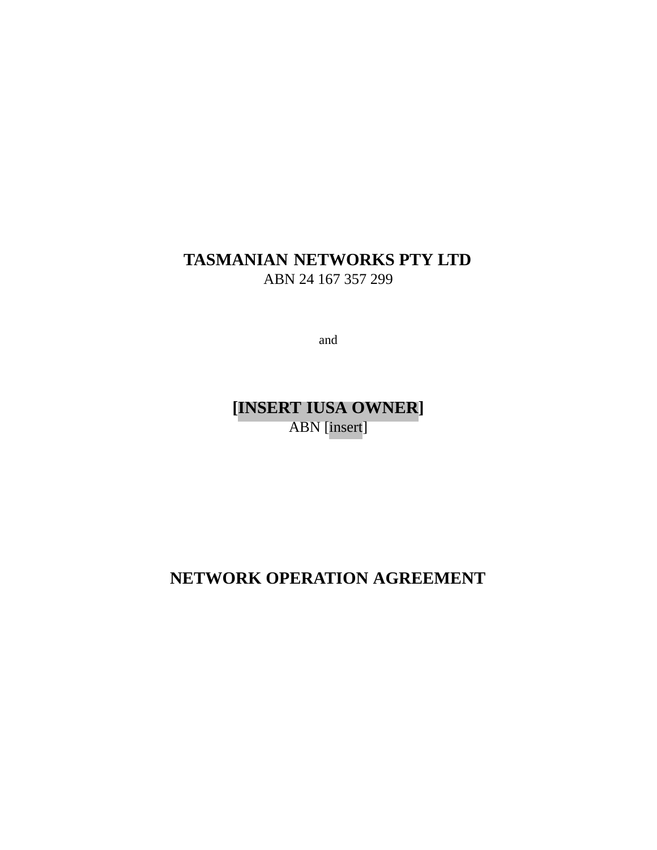## **TASMANIAN NETWORKS PTY LTD** ABN 24 167 357 299

and

**[INSERT IUSA OWNER]** ABN [insert]

**NETWORK OPERATION AGREEMENT**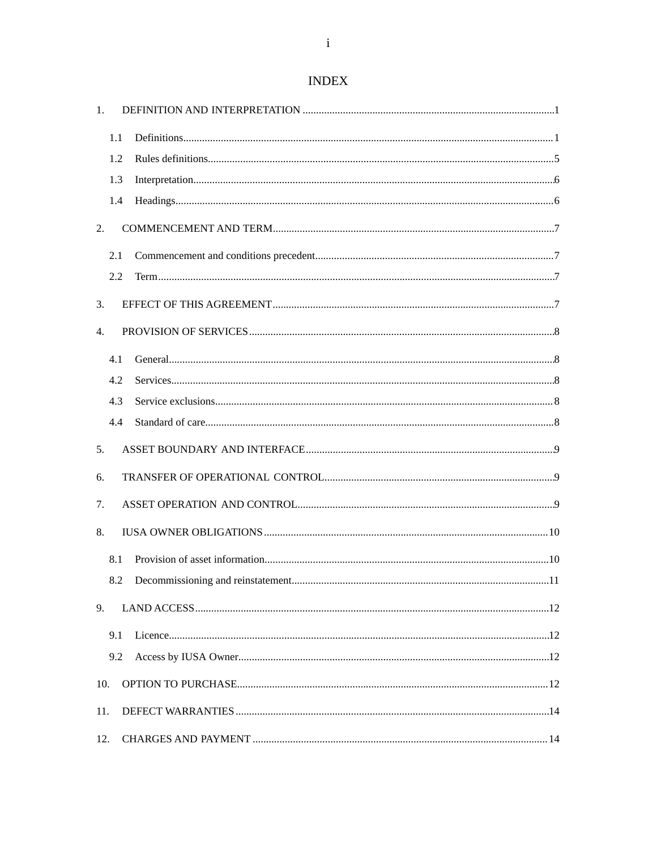# **INDEX**

| 1.  |     |  |
|-----|-----|--|
|     | 1.1 |  |
|     | 1.2 |  |
|     | 1.3 |  |
|     | 1.4 |  |
| 2.  |     |  |
|     | 2.1 |  |
|     | 2.2 |  |
| 3.  |     |  |
| 4.  |     |  |
|     | 4.1 |  |
|     | 4.2 |  |
|     | 4.3 |  |
|     | 4.4 |  |
| 5.  |     |  |
| 6.  |     |  |
| 7.  |     |  |
| 8.  |     |  |
|     | 8.1 |  |
|     | 8.2 |  |
| 9.  |     |  |
|     | 9.1 |  |
|     | 9.2 |  |
| 10. |     |  |
| 11. |     |  |
| 12. |     |  |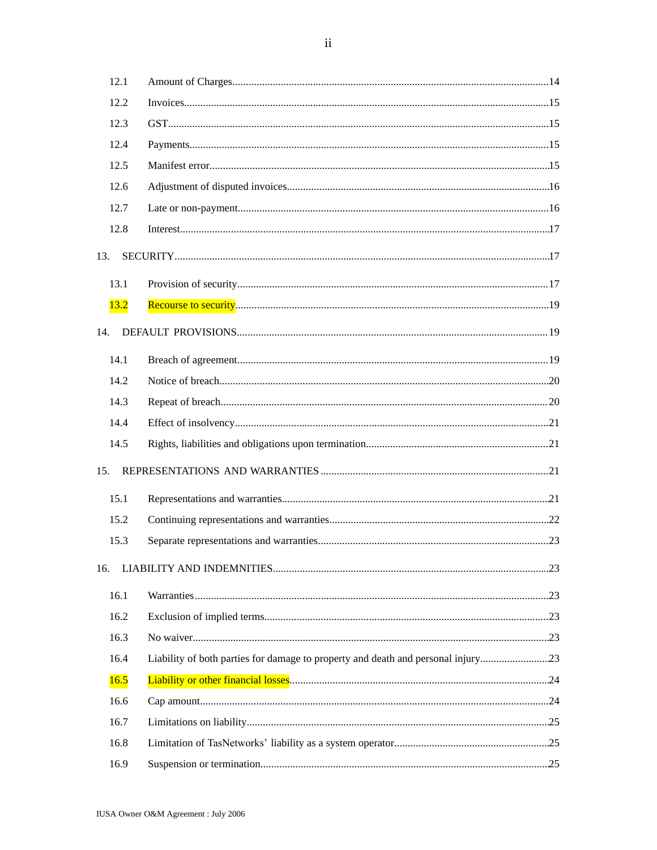| 12.1 |  |
|------|--|
| 12.2 |  |
| 12.3 |  |
| 12.4 |  |
| 12.5 |  |
| 12.6 |  |
| 12.7 |  |
| 12.8 |  |
| 13.  |  |
| 13.1 |  |
| 13.2 |  |
| 14.  |  |
| 14.1 |  |
| 14.2 |  |
| 14.3 |  |
| 14.4 |  |
| 14.5 |  |
| 15.  |  |
| 15.1 |  |
| 15.2 |  |
| 15.3 |  |
| 16.  |  |
| 16.1 |  |
| 16.2 |  |
| 16.3 |  |
| 16.4 |  |
| 16.5 |  |
| 16.6 |  |
| 16.7 |  |
| 16.8 |  |
| 16.9 |  |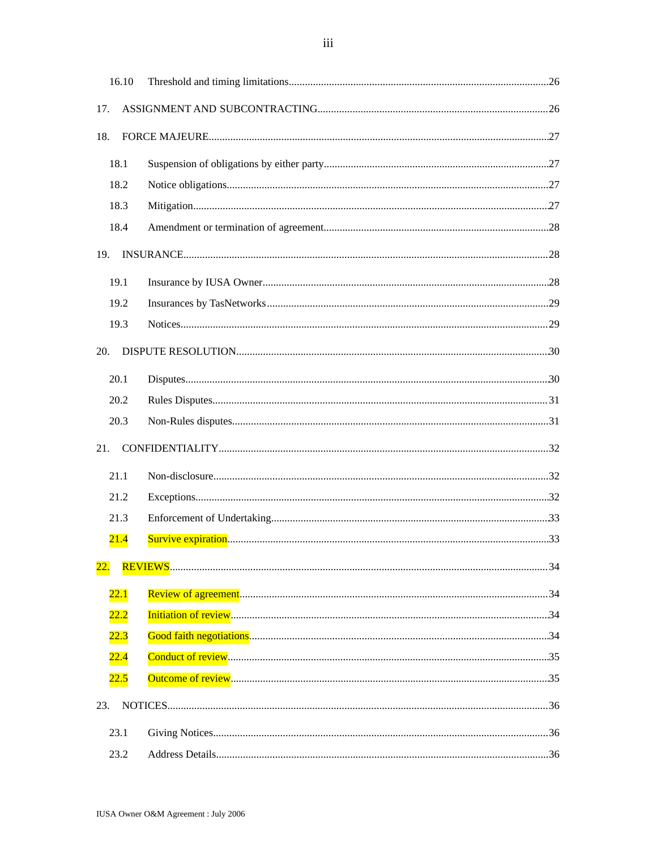| 16.10      |  |
|------------|--|
| 17.        |  |
| 18.        |  |
|            |  |
| 18.1       |  |
| 18.2       |  |
| 18.3       |  |
| 18.4       |  |
| 19.        |  |
| 19.1       |  |
| 19.2       |  |
| 19.3       |  |
| 20.        |  |
| 20.1       |  |
| 20.2       |  |
| 20.3       |  |
| 21.        |  |
| 21.1       |  |
| 21.2       |  |
| 21.3       |  |
| 21.4       |  |
| <u>22.</u> |  |
| 22.1       |  |
| 22.2       |  |
| 22.3       |  |
| 22.4       |  |
| 22.5       |  |
| 23.        |  |
| 23.1       |  |
| 23.2       |  |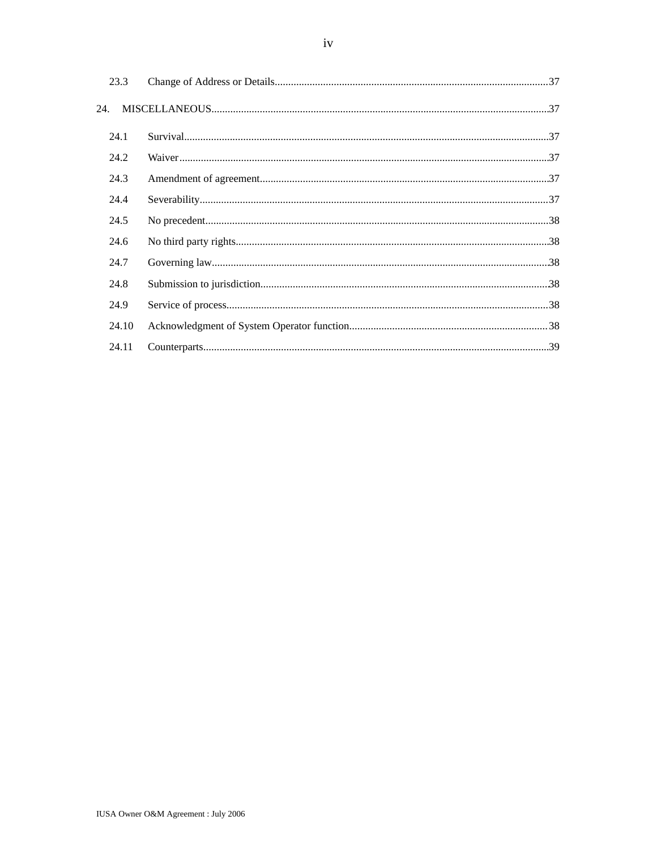| 23.3  |  |
|-------|--|
| 24.   |  |
| 24.1  |  |
| 24.2  |  |
| 24.3  |  |
| 24.4  |  |
| 24.5  |  |
| 24.6  |  |
| 24.7  |  |
| 24.8  |  |
| 24.9  |  |
| 24.10 |  |
| 24.11 |  |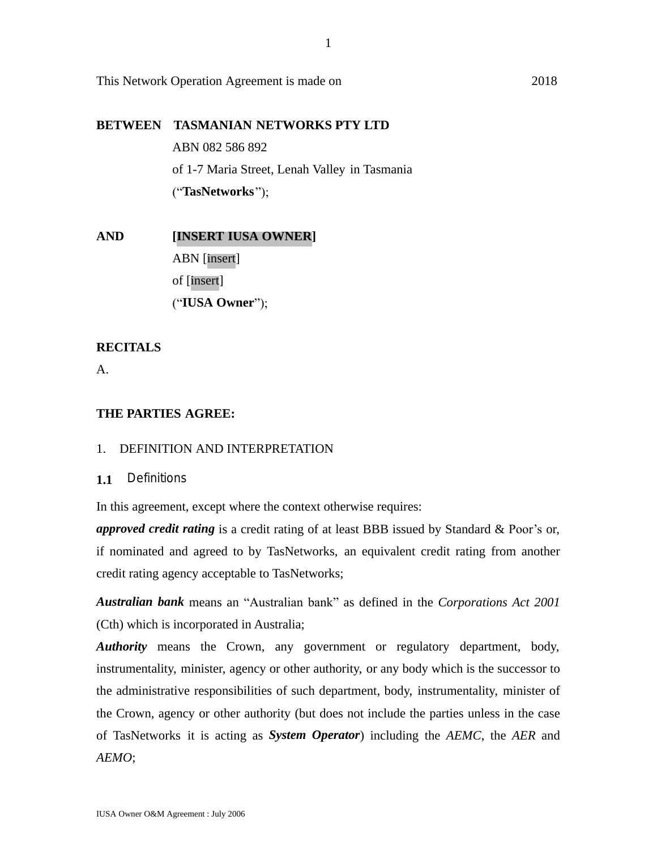This Network Operation Agreement is made on 2018

## **BETWEEN TASMANIAN NETWORKS PTY LTD**

ABN 082 586 892 of 1-7 Maria Street, Lenah Valley in Tasmania ("**TasNetworks**");

**AND [INSERT IUSA OWNER]** ABN [insert] of [insert] ("**IUSA Owner**");

## **RECITALS**

A.

## **THE PARTIES AGREE:**

## 1. DEFINITION AND INTERPRETATION

**1.1** Definitions

In this agreement, except where the context otherwise requires:

*approved credit rating* is a credit rating of at least BBB issued by Standard & Poor's or, if nominated and agreed to by TasNetworks, an equivalent credit rating from another credit rating agency acceptable to TasNetworks;

*Australian bank* means an "Australian bank" as defined in the *Corporations Act 2001* (Cth) which is incorporated in Australia;

*Authority* means the Crown, any government or regulatory department, body, instrumentality, minister, agency or other authority, or any body which is the successor to the administrative responsibilities of such department, body, instrumentality, minister of the Crown, agency or other authority (but does not include the parties unless in the case of TasNetworks it is acting as *System Operator*) including the *AEMC*, the *AER* and *AEMO*;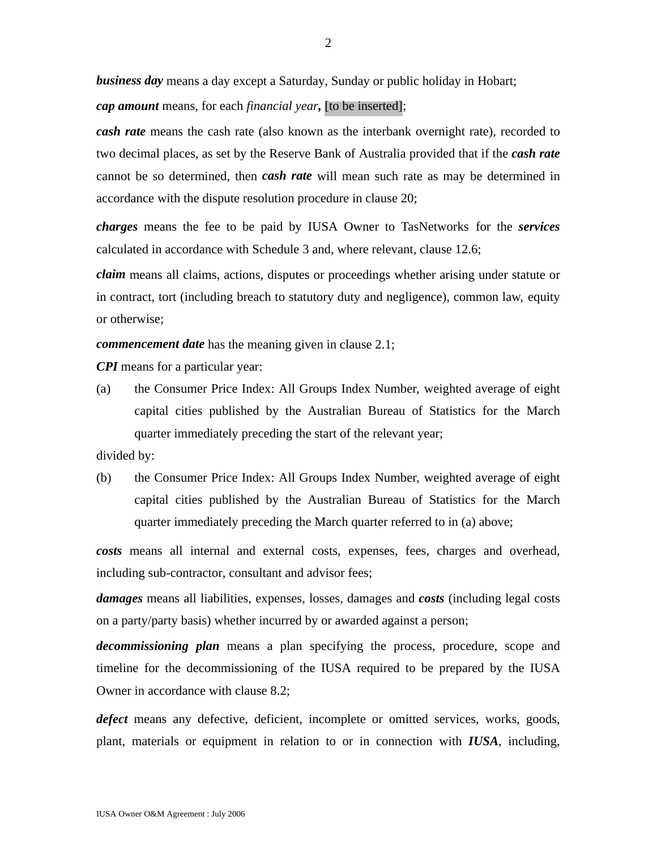*business day* means a day except a Saturday, Sunday or public holiday in Hobart;

*cap amount* means, for each *financial year,* [to be inserted];

*cash rate* means the cash rate (also known as the interbank overnight rate), recorded to two decimal places, as set by the Reserve Bank of Australia provided that if the *cash rate* cannot be so determined, then *cash rate* will mean such rate as may be determined in accordance with the dispute resolution procedure in clause 20;

*charges* means the fee to be paid by IUSA Owner to TasNetworks for the *services* calculated in accordance with Schedule 3 and, where relevant, clause 12.6;

*claim* means all claims, actions, disputes or proceedings whether arising under statute or in contract, tort (including breach to statutory duty and negligence), common law, equity or otherwise;

*commencement date* has the meaning given in clause 2.1;

*CPI* means for a particular year:

(a) the Consumer Price Index: All Groups Index Number, weighted average of eight capital cities published by the Australian Bureau of Statistics for the March quarter immediately preceding the start of the relevant year;

divided by:

(b) the Consumer Price Index: All Groups Index Number, weighted average of eight capital cities published by the Australian Bureau of Statistics for the March quarter immediately preceding the March quarter referred to in (a) above;

*costs* means all internal and external costs, expenses, fees, charges and overhead, including sub-contractor, consultant and advisor fees;

*damages* means all liabilities, expenses, losses, damages and *costs* (including legal costs on a party/party basis) whether incurred by or awarded against a person;

*decommissioning plan* means a plan specifying the process, procedure, scope and timeline for the decommissioning of the IUSA required to be prepared by the IUSA Owner in accordance with clause 8.2;

*defect* means any defective, deficient, incomplete or omitted services, works, goods, plant, materials or equipment in relation to or in connection with *IUSA*, including,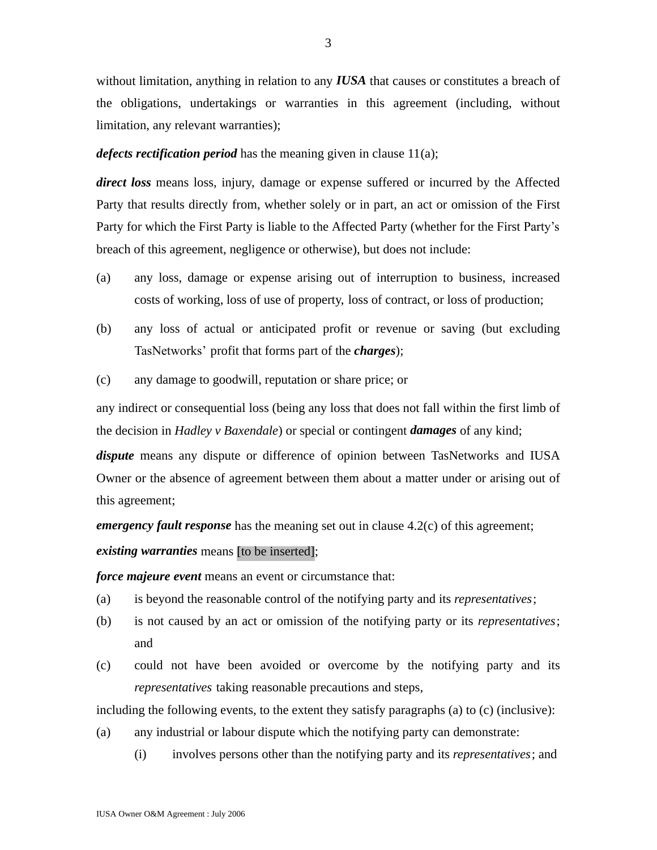without limitation, anything in relation to any *IUSA* that causes or constitutes a breach of the obligations, undertakings or warranties in this agreement (including, without limitation, any relevant warranties);

*defects rectification period* has the meaning given in clause 11(a);

*direct loss* means loss, injury, damage or expense suffered or incurred by the Affected Party that results directly from, whether solely or in part, an act or omission of the First Party for which the First Party is liable to the Affected Party (whether for the First Party's breach of this agreement, negligence or otherwise), but does not include:

- (a) any loss, damage or expense arising out of interruption to business, increased costs of working, loss of use of property, loss of contract, or loss of production;
- (b) any loss of actual or anticipated profit or revenue or saving (but excluding TasNetworks' profit that forms part of the *charges*);
- (c) any damage to goodwill, reputation or share price; or

any indirect or consequential loss (being any loss that does not fall within the first limb of the decision in *Hadley v Baxendale*) or special or contingent *damages* of any kind;

*dispute* means any dispute or difference of opinion between TasNetworks and IUSA Owner or the absence of agreement between them about a matter under or arising out of this agreement;

*emergency fault response* has the meaning set out in clause 4.2(c) of this agreement;

*existing warranties* means [to be inserted];

*force majeure event* means an event or circumstance that:

- (a) is beyond the reasonable control of the notifying party and its *representatives*;
- (b) is not caused by an act or omission of the notifying party or its *representatives*; and
- (c) could not have been avoided or overcome by the notifying party and its *representatives* taking reasonable precautions and steps,

including the following events, to the extent they satisfy paragraphs (a) to (c) (inclusive):

- (a) any industrial or labour dispute which the notifying party can demonstrate:
	- (i) involves persons other than the notifying party and its *representatives*; and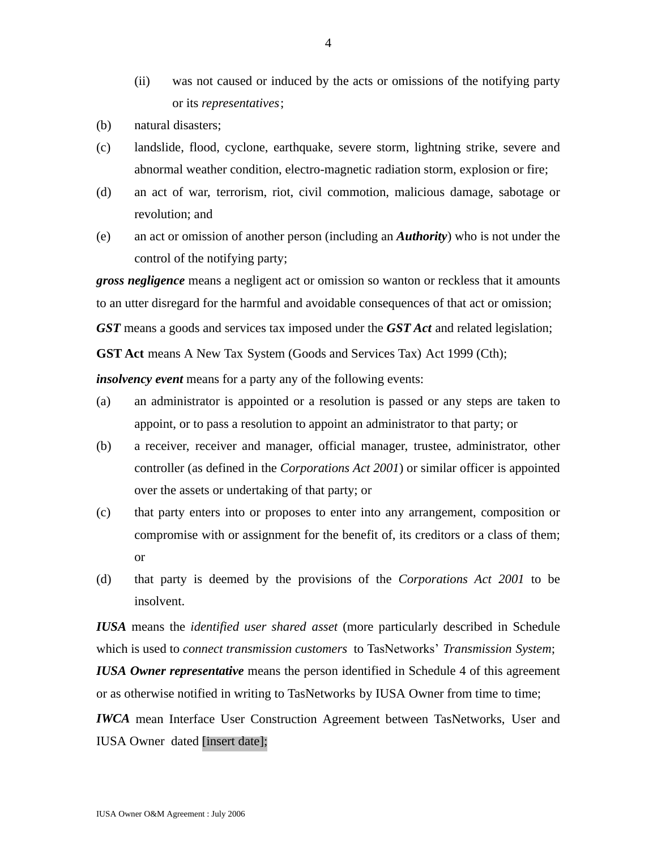- (ii) was not caused or induced by the acts or omissions of the notifying party or its *representatives*;
- (b) natural disasters;
- (c) landslide, flood, cyclone, earthquake, severe storm, lightning strike, severe and abnormal weather condition, electro-magnetic radiation storm, explosion or fire;
- (d) an act of war, terrorism, riot, civil commotion, malicious damage, sabotage or revolution; and
- (e) an act or omission of another person (including an *Authority*) who is not under the control of the notifying party;

*gross negligence* means a negligent act or omission so wanton or reckless that it amounts to an utter disregard for the harmful and avoidable consequences of that act or omission;

*GST* means a goods and services tax imposed under the *GST Act* and related legislation;

**GST Act** means A New Tax System (Goods and Services Tax) Act 1999 (Cth);

*insolvency event* means for a party any of the following events:

- (a) an administrator is appointed or a resolution is passed or any steps are taken to appoint, or to pass a resolution to appoint an administrator to that party; or
- (b) a receiver, receiver and manager, official manager, trustee, administrator, other controller (as defined in the *Corporations Act 2001*) or similar officer is appointed over the assets or undertaking of that party; or
- (c) that party enters into or proposes to enter into any arrangement, composition or compromise with or assignment for the benefit of, its creditors or a class of them; or
- (d) that party is deemed by the provisions of the *Corporations Act 2001* to be insolvent.

*IUSA* means the *identified user shared asset* (more particularly described in Schedule which is used to *connect transmission customers* to TasNetworks' *Transmission System*;

*IUSA Owner representative* means the person identified in Schedule 4 of this agreement or as otherwise notified in writing to TasNetworks by IUSA Owner from time to time;

*IWCA* mean Interface User Construction Agreement between TasNetworks, User and IUSA Owner dated [insert date];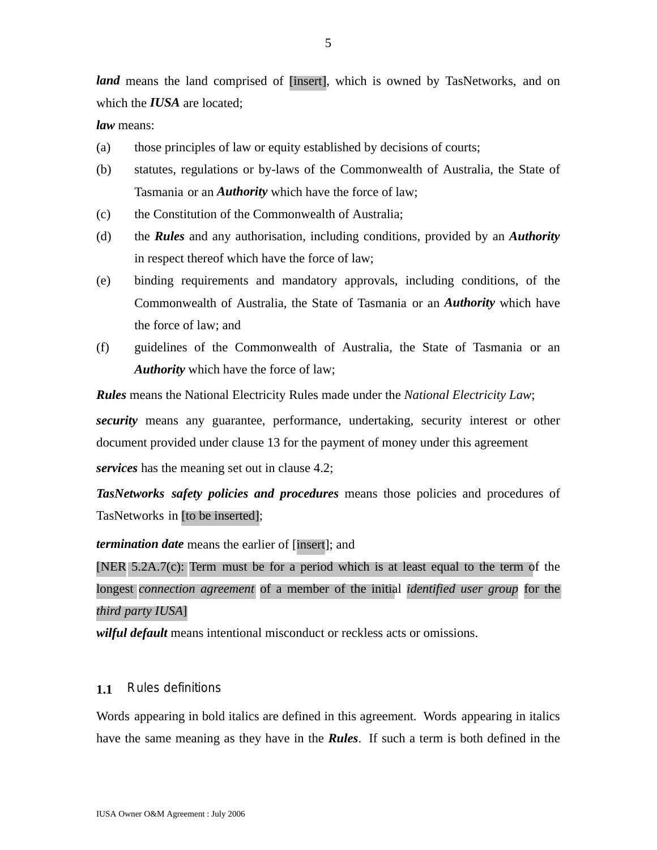*land* means the land comprised of [insert], which is owned by TasNetworks, and on which the *IUSA* are located;

*law* means:

- (a) those principles of law or equity established by decisions of courts;
- (b) statutes, regulations or by-laws of the Commonwealth of Australia, the State of Tasmania or an *Authority* which have the force of law;
- (c) the Constitution of the Commonwealth of Australia;
- (d) the *Rules* and any authorisation, including conditions, provided by an *Authority* in respect thereof which have the force of law;
- (e) binding requirements and mandatory approvals, including conditions, of the Commonwealth of Australia, the State of Tasmania or an *Authority* which have the force of law; and
- (f) guidelines of the Commonwealth of Australia, the State of Tasmania or an *Authority* which have the force of law;

*Rules* means the National Electricity Rules made under the *National Electricity Law*;

*security* means any guarantee, performance, undertaking, security interest or other document provided under clause 13 for the payment of money under this agreement *services* has the meaning set out in clause 4.2;

*TasNetworks safety policies and procedures* means those policies and procedures of TasNetworks in [to be inserted];

*termination date* means the earlier of [insert]; and

[NER 5.2A.7(c): Term must be for a period which is at least equal to the term of the longest *connection agreement* of a member of the initial *identified user group* for the *third party IUSA*]

*wilful default* means intentional misconduct or reckless acts or omissions.

## **1.1** Rules definitions

Words appearing in bold italics are defined in this agreement*.* Words appearing in italics have the same meaning as they have in the *Rules*. If such a term is both defined in the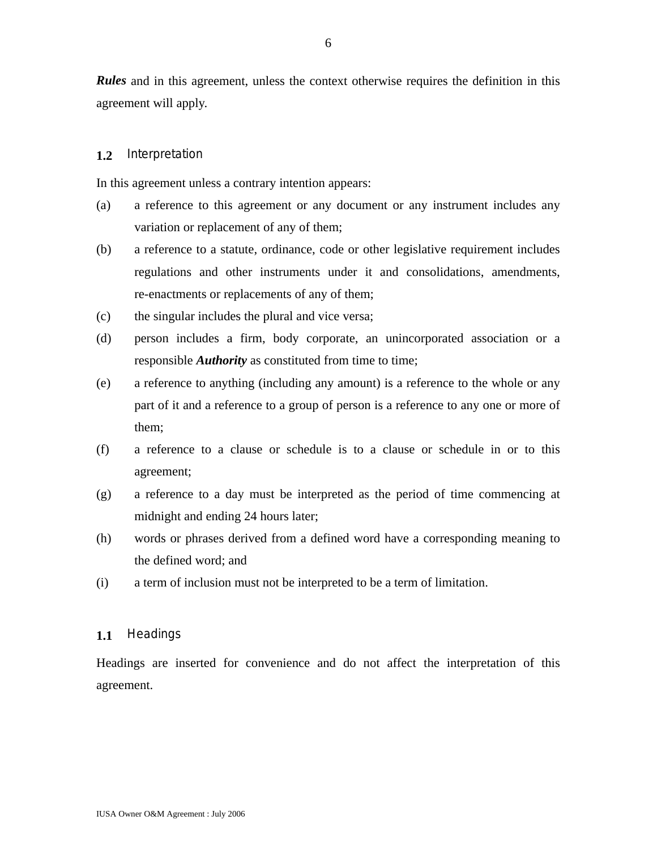*Rules* and in this agreement, unless the context otherwise requires the definition in this agreement will apply.

### **1.2** Interpretation

In this agreement unless a contrary intention appears:

- (a) a reference to this agreement or any document or any instrument includes any variation or replacement of any of them;
- (b) a reference to a statute, ordinance, code or other legislative requirement includes regulations and other instruments under it and consolidations, amendments, re-enactments or replacements of any of them;
- (c) the singular includes the plural and vice versa;
- (d) person includes a firm, body corporate, an unincorporated association or a responsible *Authority* as constituted from time to time;
- (e) a reference to anything (including any amount) is a reference to the whole or any part of it and a reference to a group of person is a reference to any one or more of them;
- (f) a reference to a clause or schedule is to a clause or schedule in or to this agreement;
- (g) a reference to a day must be interpreted as the period of time commencing at midnight and ending 24 hours later;
- (h) words or phrases derived from a defined word have a corresponding meaning to the defined word; and
- (i) a term of inclusion must not be interpreted to be a term of limitation.

#### **1.1** Headings

Headings are inserted for convenience and do not affect the interpretation of this agreement.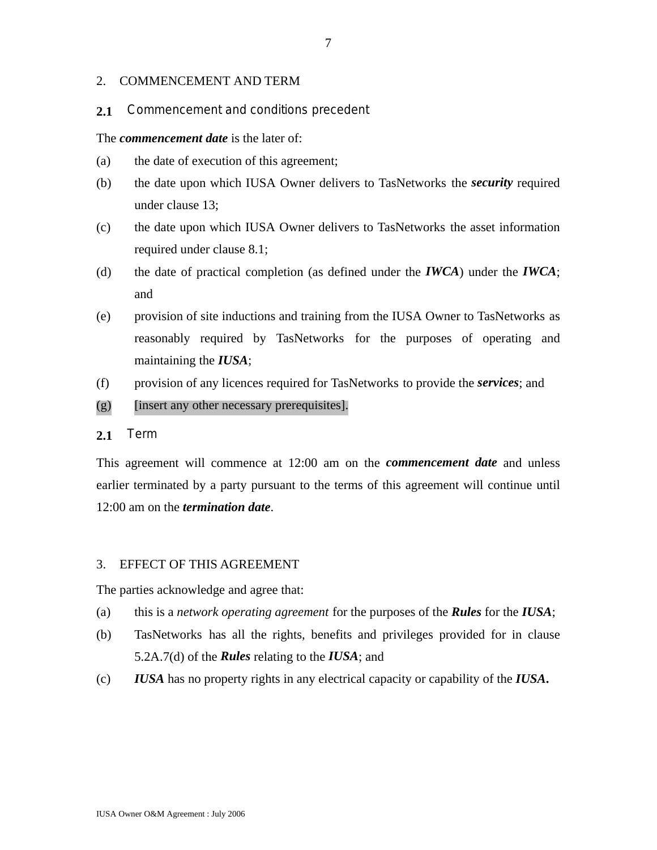### 2. COMMENCEMENT AND TERM

### **2.1** Commencement and conditions precedent

#### The *commencement date* is the later of:

- (a) the date of execution of this agreement;
- (b) the date upon which IUSA Owner delivers to TasNetworks the *security* required under clause 13;
- (c) the date upon which IUSA Owner delivers to TasNetworks the asset information required under clause 8.1;
- (d) the date of practical completion (as defined under the *IWCA*) under the *IWCA*; and
- (e) provision of site inductions and training from the IUSA Owner to TasNetworks as reasonably required by TasNetworks for the purposes of operating and maintaining the *IUSA*;
- (f) provision of any licences required for TasNetworks to provide the *services*; and

#### (g) [insert any other necessary prerequisites].

## **2.1** Term

This agreement will commence at 12:00 am on the *commencement date* and unless earlier terminated by a party pursuant to the terms of this agreement will continue until 12:00 am on the *termination date*.

#### 3. EFFECT OF THIS AGREEMENT

The parties acknowledge and agree that:

- (a) this is a *network operating agreement* for the purposes of the *Rules* for the *IUSA*;
- (b) TasNetworks has all the rights, benefits and privileges provided for in clause 5.2A.7(d) of the *Rules* relating to the *IUSA*; and
- (c) *IUSA* has no property rights in any electrical capacity or capability of the *IUSA***.**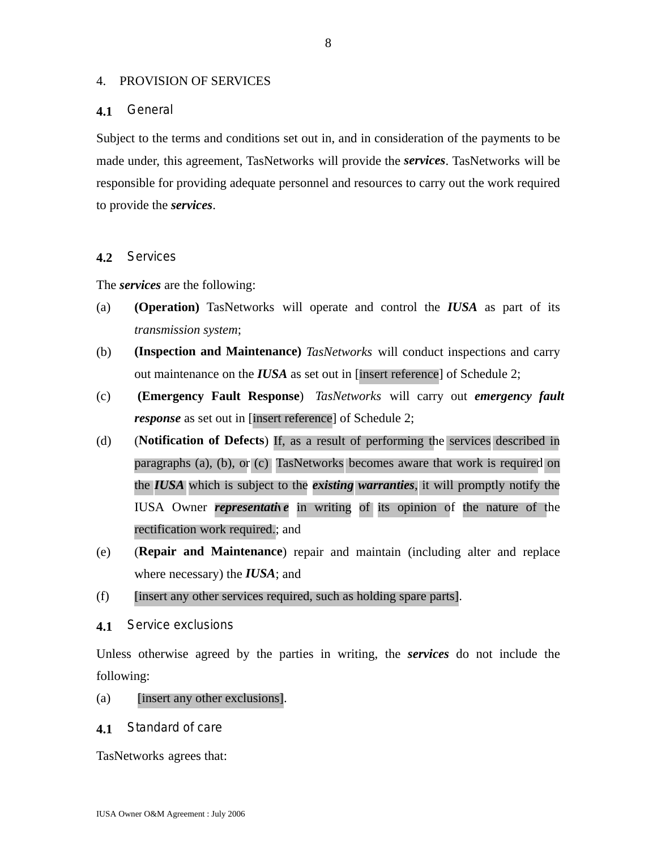#### 4. PROVISION OF SERVICES

### **4.1** General

Subject to the terms and conditions set out in, and in consideration of the payments to be made under, this agreement, TasNetworks will provide the *services*. TasNetworks will be responsible for providing adequate personnel and resources to carry out the work required to provide the *services*.

### **4.2** Services

The *services* are the following:

- (a) **(Operation)** TasNetworks will operate and control the *IUSA* as part of its *transmission system*;
- (b) **(Inspection and Maintenance)** *TasNetworks* will conduct inspections and carry out maintenance on the *IUSA* as set out in [insert reference] of Schedule 2;
- (c) **(Emergency Fault Response**) *TasNetworks* will carry out *emergency fault response* as set out in [insert reference] of Schedule 2;
- (d) (**Notification of Defects**) If, as a result of performing the services described in paragraphs (a), (b), or (c), TasNetworks becomes aware that work is required on the *IUSA* which is subject to the *existing warranties*, it will promptly notify the IUSA Owner *representative* in writing of its opinion of the nature of the rectification work required.; and
- (e) (**Repair and Maintenance**) repair and maintain (including alter and replace where necessary) the *IUSA*; and
- (f) [insert any other services required, such as holding spare parts].
- **4.1** Service exclusions

Unless otherwise agreed by the parties in writing, the *services* do not include the following:

- (a) [insert any other exclusions].
- **4.1** Standard of care

TasNetworks agrees that: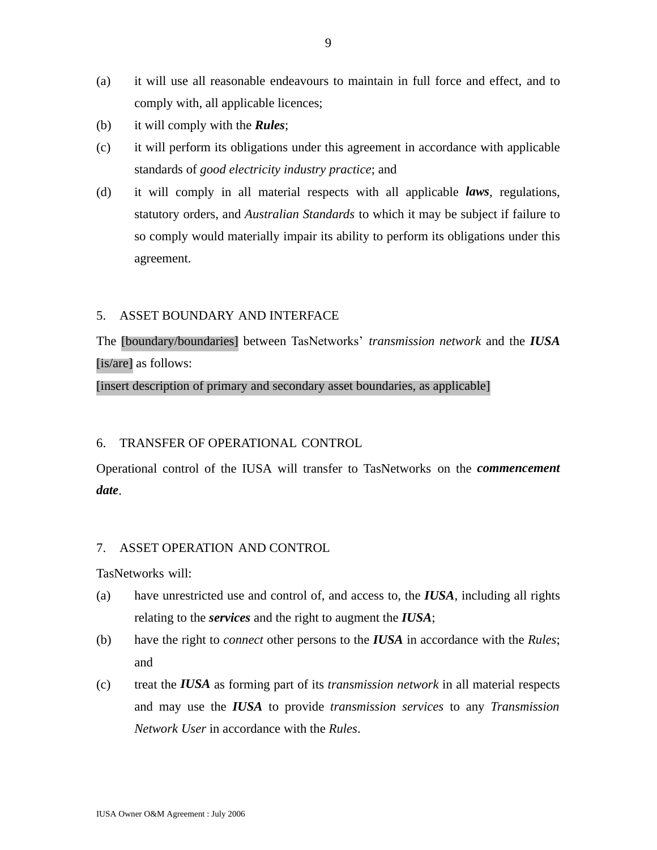- (a) it will use all reasonable endeavours to maintain in full force and effect, and to comply with, all applicable licences;
- (b) it will comply with the *Rules*;
- (c) it will perform its obligations under this agreement in accordance with applicable standards of *good electricity industry practice*; and
- (d) it will comply in all material respects with all applicable *laws*, regulations, statutory orders, and *Australian Standards* to which it may be subject if failure to so comply would materially impair its ability to perform its obligations under this agreement.

### 5. ASSET BOUNDARY AND INTERFACE

The [boundary/boundaries] between TasNetworks' *transmission network* and the *IUSA* [is/are] as follows:

[insert description of primary and secondary asset boundaries, as applicable]

## 6. TRANSFER OF OPERATIONAL CONTROL

Operational control of the IUSA will transfer to TasNetworks on the *commencement date*.

### 7. ASSET OPERATION AND CONTROL

TasNetworks will:

- (a) have unrestricted use and control of, and access to, the *IUSA*, including all rights relating to the *services* and the right to augment the *IUSA*;
- (b) have the right to *connect* other persons to the *IUSA* in accordance with the *Rules*; and
- (c) treat the *IUSA* as forming part of its *transmission network* in all material respects and may use the *IUSA* to provide *transmission services* to any *Transmission Network User* in accordance with the *Rules*.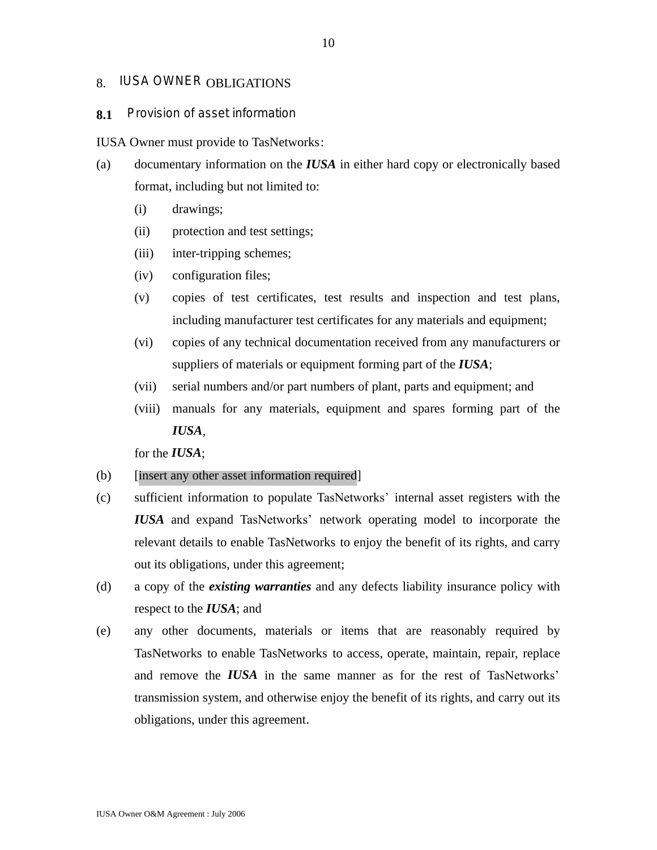## 8. IUSA OWNER OBLIGATIONS

#### **8.1** Provision of asset information

IUSA Owner must provide to TasNetworks:

- (a) documentary information on the *IUSA* in either hard copy or electronically based format, including but not limited to:
	- (i) drawings;
	- (ii) protection and test settings;
	- (iii) inter-tripping schemes;
	- (iv) configuration files;
	- (v) copies of test certificates, test results and inspection and test plans, including manufacturer test certificates for any materials and equipment;
	- (vi) copies of any technical documentation received from any manufacturers or suppliers of materials or equipment forming part of the *IUSA*;
	- (vii) serial numbers and/or part numbers of plant, parts and equipment; and
	- (viii) manuals for any materials, equipment and spares forming part of the *IUSA*,

for the *IUSA*;

#### (b) [insert any other asset information required]

- (c) sufficient information to populate TasNetworks' internal asset registers with the *IUSA* and expand TasNetworks' network operating model to incorporate the relevant details to enable TasNetworks to enjoy the benefit of its rights, and carry out its obligations, under this agreement;
- (d) a copy of the *existing warranties* and any defects liability insurance policy with respect to the *IUSA*; and
- (e) any other documents, materials or items that are reasonably required by TasNetworks to enable TasNetworks to access, operate, maintain, repair, replace and remove the *IUSA* in the same manner as for the rest of TasNetworks' transmission system, and otherwise enjoy the benefit of its rights, and carry out its obligations, under this agreement.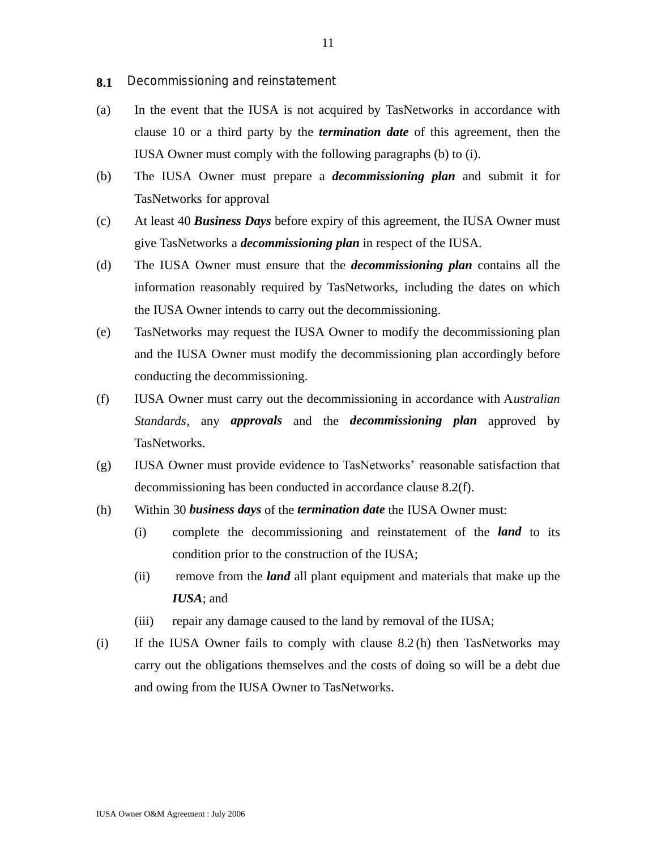- **8.1** Decommissioning and reinstatement
- (a) In the event that the IUSA is not acquired by TasNetworks in accordance with clause 10 or a third party by the *termination date* of this agreement, then the IUSA Owner must comply with the following paragraphs (b) to (i).
- (b) The IUSA Owner must prepare a *decommissioning plan* and submit it for TasNetworks for approval
- (c) At least 40 *Business Days* before expiry of this agreement, the IUSA Owner must give TasNetworks a *decommissioning plan* in respect of the IUSA.
- (d) The IUSA Owner must ensure that the *decommissioning plan* contains all the information reasonably required by TasNetworks, including the dates on which the IUSA Owner intends to carry out the decommissioning.
- (e) TasNetworks may request the IUSA Owner to modify the decommissioning plan and the IUSA Owner must modify the decommissioning plan accordingly before conducting the decommissioning.
- (f) IUSA Owner must carry out the decommissioning in accordance with A*ustralian Standards*, any *approvals* and the *decommissioning plan* approved by TasNetworks.
- (g) IUSA Owner must provide evidence to TasNetworks' reasonable satisfaction that decommissioning has been conducted in accordance clause 8.2(f).
- (h) Within 30 *business days* of the *termination date* the IUSA Owner must:
	- (i) complete the decommissioning and reinstatement of the *land* to its condition prior to the construction of the IUSA;
	- (ii) remove from the *land* all plant equipment and materials that make up the *IUSA*; and
	- (iii) repair any damage caused to the land by removal of the IUSA;
- (i) If the IUSA Owner fails to comply with clause 8.2 (h) then TasNetworks may carry out the obligations themselves and the costs of doing so will be a debt due and owing from the IUSA Owner to TasNetworks.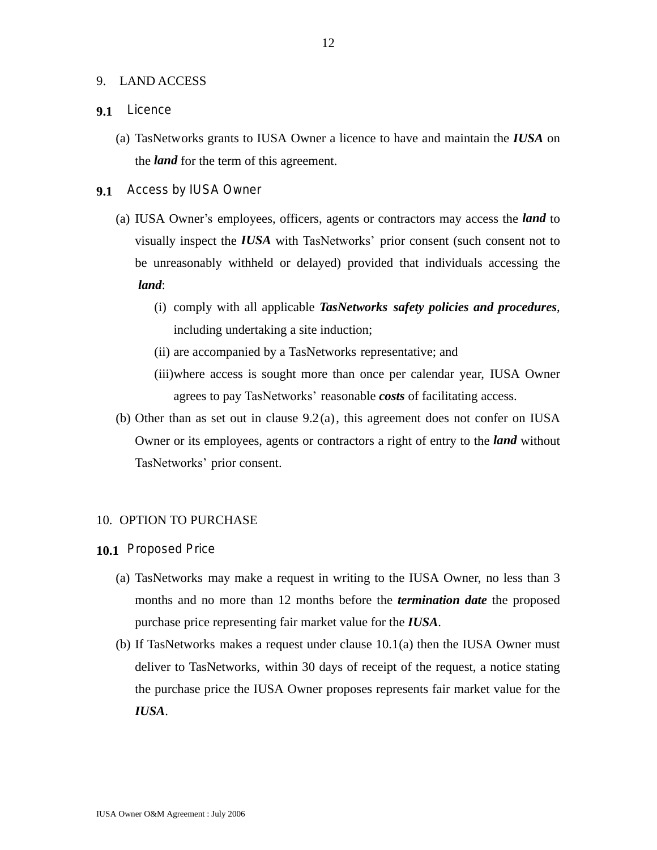#### 9. LAND ACCESS

#### **9.1** Licence

- (a) TasNetworks grants to IUSA Owner a licence to have and maintain the *IUSA* on the *land* for the term of this agreement.
- **9.1** Access by IUSA Owner
	- (a) IUSA Owner's employees, officers, agents or contractors may access the *land* to visually inspect the *IUSA* with TasNetworks' prior consent (such consent not to be unreasonably withheld or delayed) provided that individuals accessing the  *land*:
		- (i) comply with all applicable *TasNetworks safety policies and procedures*, including undertaking a site induction;
		- (ii) are accompanied by a TasNetworks representative; and
		- (iii)where access is sought more than once per calendar year, IUSA Owner agrees to pay TasNetworks' reasonable *costs* of facilitating access.
	- (b) Other than as set out in clause 9.2(a), this agreement does not confer on IUSA Owner or its employees, agents or contractors a right of entry to the *land* without TasNetworks' prior consent.

#### 10. OPTION TO PURCHASE

- **10.1** Proposed Price
	- (a) TasNetworks may make a request in writing to the IUSA Owner, no less than 3 months and no more than 12 months before the *termination date* the proposed purchase price representing fair market value for the *IUSA*.
	- (b) If TasNetworks makes a request under clause 10.1(a) then the IUSA Owner must deliver to TasNetworks, within 30 days of receipt of the request, a notice stating the purchase price the IUSA Owner proposes represents fair market value for the *IUSA*.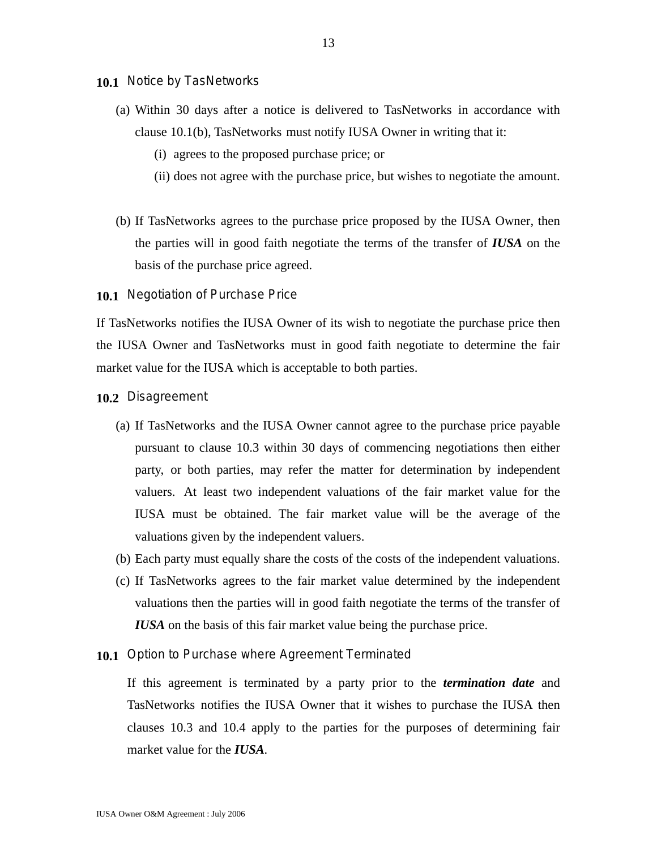#### **10.1** Notice by TasNetworks

- (a) Within 30 days after a notice is delivered to TasNetworks in accordance with clause 10.1(b), TasNetworks must notify IUSA Owner in writing that it:
	- (i) agrees to the proposed purchase price; or
	- (ii) does not agree with the purchase price, but wishes to negotiate the amount.
- (b) If TasNetworks agrees to the purchase price proposed by the IUSA Owner, then the parties will in good faith negotiate the terms of the transfer of *IUSA* on the basis of the purchase price agreed.

**10.1** Negotiation of Purchase Price

If TasNetworks notifies the IUSA Owner of its wish to negotiate the purchase price then the IUSA Owner and TasNetworks must in good faith negotiate to determine the fair market value for the IUSA which is acceptable to both parties.

**10.2** Disagreement

- (a) If TasNetworks and the IUSA Owner cannot agree to the purchase price payable pursuant to clause 10.3 within 30 days of commencing negotiations then either party, or both parties, may refer the matter for determination by independent valuers. At least two independent valuations of the fair market value for the IUSA must be obtained. The fair market value will be the average of the valuations given by the independent valuers.
- (b) Each party must equally share the costs of the costs of the independent valuations.
- (c) If TasNetworks agrees to the fair market value determined by the independent valuations then the parties will in good faith negotiate the terms of the transfer of *IUSA* on the basis of this fair market value being the purchase price.
- **10.1** Option to Purchase where Agreement Terminated

If this agreement is terminated by a party prior to the *termination date* and TasNetworks notifies the IUSA Owner that it wishes to purchase the IUSA then clauses 10.3 and 10.4 apply to the parties for the purposes of determining fair market value for the *IUSA.*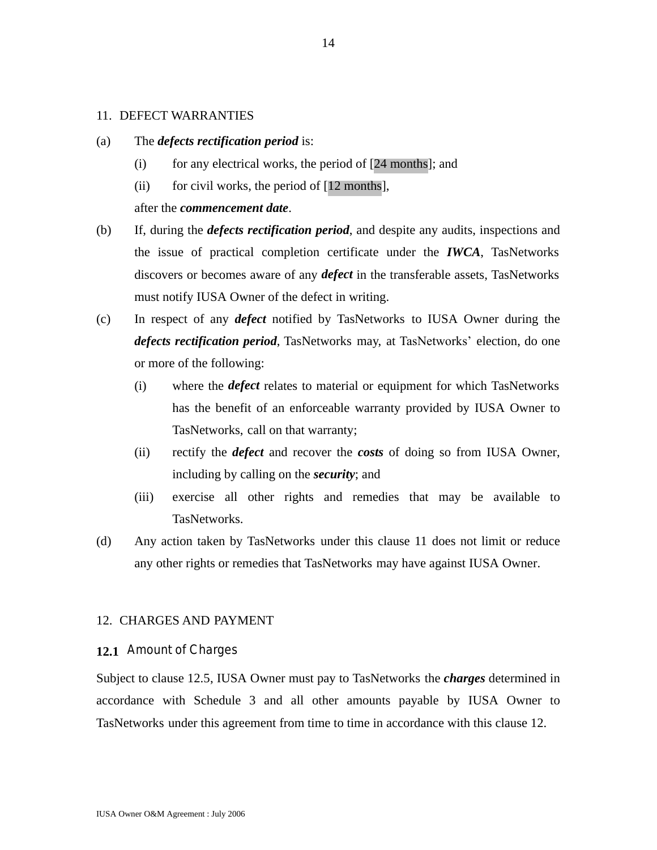#### 11. DEFECT WARRANTIES

- (a) The *defects rectification period* is:
	- (i) for any electrical works, the period of  $[24$  months]; and
	- (ii) for civil works, the period of  $[12 \text{ months}]$ ,

#### after the *commencement date*.

- (b) If, during the *defects rectification period*, and despite any audits, inspections and the issue of practical completion certificate under the *IWCA*, TasNetworks discovers or becomes aware of any *defect* in the transferable assets, TasNetworks must notify IUSA Owner of the defect in writing.
- (c) In respect of any *defect* notified by TasNetworks to IUSA Owner during the *defects rectification period*, TasNetworks may, at TasNetworks' election, do one or more of the following:
	- (i) where the *defect* relates to material or equipment for which TasNetworks has the benefit of an enforceable warranty provided by IUSA Owner to TasNetworks, call on that warranty;
	- (ii) rectify the *defect* and recover the *costs* of doing so from IUSA Owner, including by calling on the *security*; and
	- (iii) exercise all other rights and remedies that may be available to TasNetworks.
- (d) Any action taken by TasNetworks under this clause 11 does not limit or reduce any other rights or remedies that TasNetworks may have against IUSA Owner.

#### 12. CHARGES AND PAYMENT

#### **12.1** Amount of Charges

Subject to clause 12.5, IUSA Owner must pay to TasNetworks the *charges* determined in accordance with Schedule 3 and all other amounts payable by IUSA Owner to TasNetworks under this agreement from time to time in accordance with this clause 12.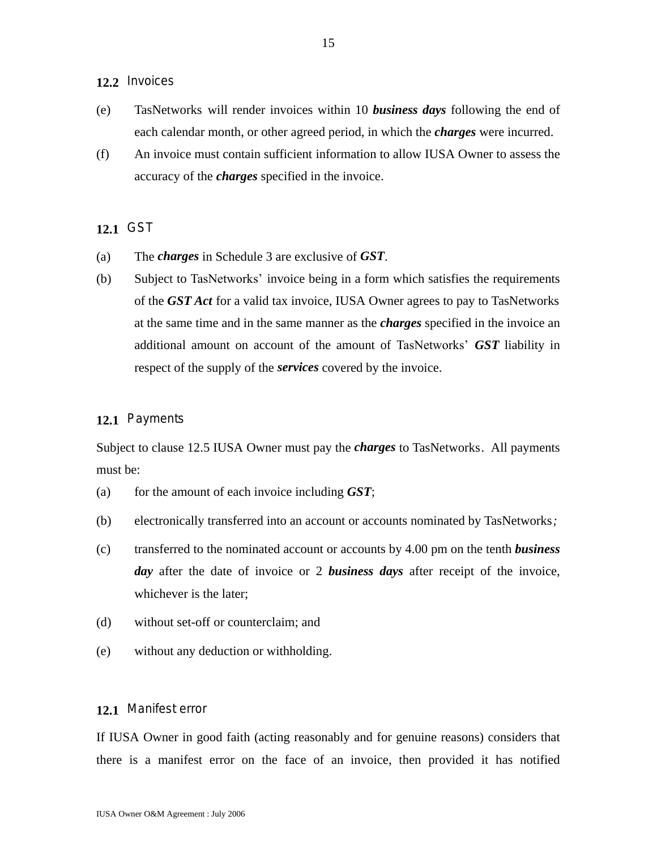## **12.2** Invoices

- (e) TasNetworks will render invoices within 10 *business days* following the end of each calendar month, or other agreed period, in which the *charges* were incurred.
- (f) An invoice must contain sufficient information to allow IUSA Owner to assess the accuracy of the *charges* specified in the invoice.

#### **12.1** GST

- (a) The *charges* in Schedule 3 are exclusive of *GST*.
- (b) Subject to TasNetworks' invoice being in a form which satisfies the requirements of the *GST Act* for a valid tax invoice, IUSA Owner agrees to pay to TasNetworks at the same time and in the same manner as the *charges* specified in the invoice an additional amount on account of the amount of TasNetworks' *GST* liability in respect of the supply of the *services* covered by the invoice.

#### **12.1** Payments

Subject to clause 12.5 IUSA Owner must pay the *charges* to TasNetworks. All payments must be:

- (a) for the amount of each invoice including *GST*;
- (b) electronically transferred into an account or accounts nominated by TasNetworks*;*
- (c) transferred to the nominated account or accounts by 4.00 pm on the tenth *business day* after the date of invoice or 2 *business days* after receipt of the invoice, whichever is the later;
- (d) without set-off or counterclaim; and
- (e) without any deduction or withholding.

### **12.1** Manifest error

If IUSA Owner in good faith (acting reasonably and for genuine reasons) considers that there is a manifest error on the face of an invoice, then provided it has notified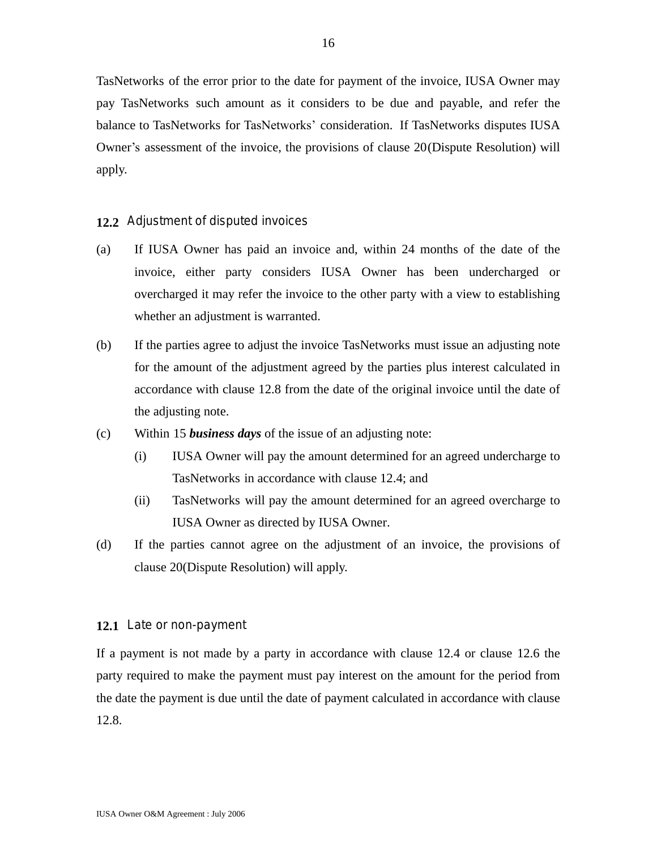TasNetworks of the error prior to the date for payment of the invoice, IUSA Owner may pay TasNetworks such amount as it considers to be due and payable, and refer the balance to TasNetworks for TasNetworks' consideration. If TasNetworks disputes IUSA Owner's assessment of the invoice, the provisions of clause 20(Dispute Resolution) will apply.

## **12.2** Adjustment of disputed invoices

- (a) If IUSA Owner has paid an invoice and, within 24 months of the date of the invoice, either party considers IUSA Owner has been undercharged or overcharged it may refer the invoice to the other party with a view to establishing whether an adjustment is warranted.
- (b) If the parties agree to adjust the invoice TasNetworks must issue an adjusting note for the amount of the adjustment agreed by the parties plus interest calculated in accordance with clause 12.8 from the date of the original invoice until the date of the adjusting note.
- (c) Within 15 *business days* of the issue of an adjusting note:
	- (i) IUSA Owner will pay the amount determined for an agreed undercharge to TasNetworks in accordance with clause 12.4; and
	- (ii) TasNetworks will pay the amount determined for an agreed overcharge to IUSA Owner as directed by IUSA Owner.
- (d) If the parties cannot agree on the adjustment of an invoice, the provisions of clause 20(Dispute Resolution) will apply.

#### **12.1** Late or non-payment

If a payment is not made by a party in accordance with clause 12.4 or clause 12.6 the party required to make the payment must pay interest on the amount for the period from the date the payment is due until the date of payment calculated in accordance with clause 12.8.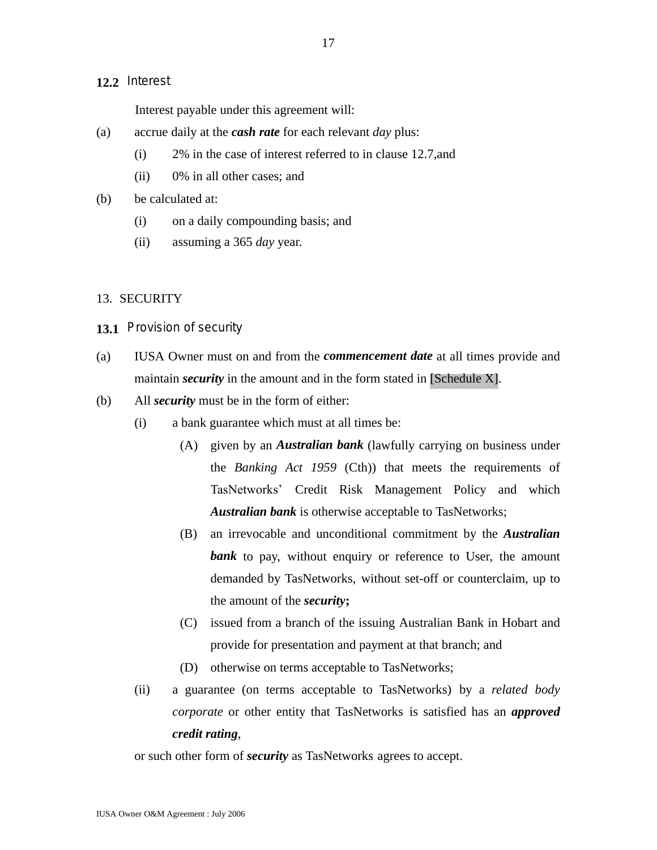## **12.2** Interest

Interest payable under this agreement will:

- (a) accrue daily at the *cash rate* for each relevant *day* plus:
	- (i) 2% in the case of interest referred to in clause 12.7,and
	- (ii) 0% in all other cases; and
- (b) be calculated at:
	- (i) on a daily compounding basis; and
	- (ii) assuming a 365 *day* year.

### 13. SECURITY

- **13.1** Provision of security
- (a) IUSA Owner must on and from the *commencement date* at all times provide and maintain *security* in the amount and in the form stated in [Schedule X].
- (b) All *security* must be in the form of either:
	- (i) a bank guarantee which must at all times be:
		- (A) given by an *Australian bank* (lawfully carrying on business under the *Banking Act 1959* (Cth)) that meets the requirements of TasNetworks' Credit Risk Management Policy and which *Australian bank* is otherwise acceptable to TasNetworks;
		- (B) an irrevocable and unconditional commitment by the *Australian* **bank** to pay, without enquiry or reference to User, the amount demanded by TasNetworks, without set-off or counterclaim, up to the amount of the *security***;**
		- (C) issued from a branch of the issuing Australian Bank in Hobart and provide for presentation and payment at that branch; and
		- (D) otherwise on terms acceptable to TasNetworks;
	- (ii) a guarantee (on terms acceptable to TasNetworks) by a *related body corporate* or other entity that TasNetworks is satisfied has an *approved credit rating*,

or such other form of *security* as TasNetworks agrees to accept.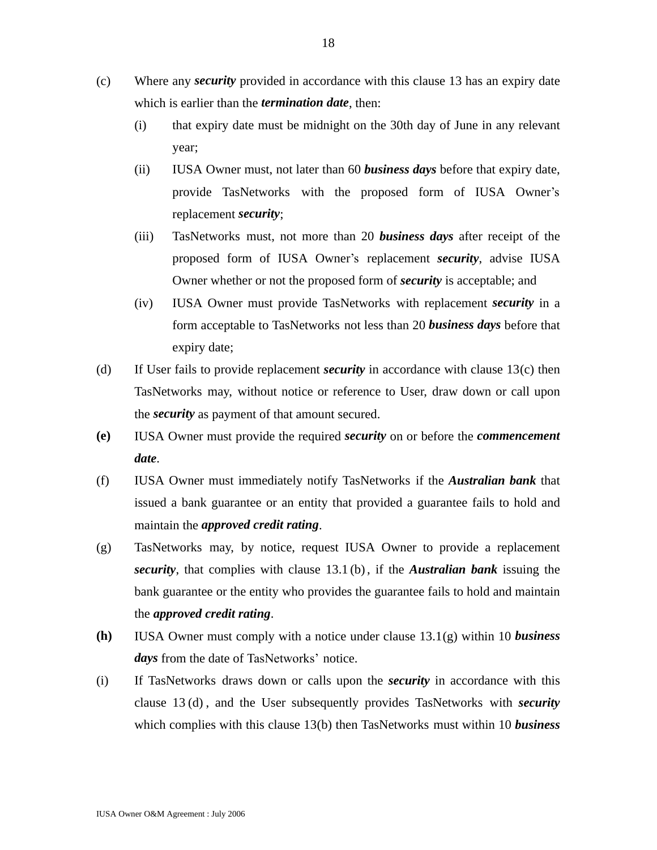- (c) Where any *security* provided in accordance with this clause 13 has an expiry date which is earlier than the *termination date*, then:
	- (i) that expiry date must be midnight on the 30th day of June in any relevant year;
	- (ii) IUSA Owner must, not later than 60 *business days* before that expiry date, provide TasNetworks with the proposed form of IUSA Owner's replacement *security*;
	- (iii) TasNetworks must, not more than 20 *business days* after receipt of the proposed form of IUSA Owner's replacement *security*, advise IUSA Owner whether or not the proposed form of *security* is acceptable; and
	- (iv) IUSA Owner must provide TasNetworks with replacement *security* in a form acceptable to TasNetworks not less than 20 *business days* before that expiry date;
- (d) If User fails to provide replacement *security* in accordance with clause 13(c) then TasNetworks may, without notice or reference to User, draw down or call upon the *security* as payment of that amount secured.
- **(e)** IUSA Owner must provide the required *security* on or before the *commencement date*.
- (f) IUSA Owner must immediately notify TasNetworks if the *Australian bank* that issued a bank guarantee or an entity that provided a guarantee fails to hold and maintain the *approved credit rating*.
- (g) TasNetworks may, by notice, request IUSA Owner to provide a replacement *security*, that complies with clause 13.1 (b), if the *Australian bank* issuing the bank guarantee or the entity who provides the guarantee fails to hold and maintain the *approved credit rating*.
- **(h)** IUSA Owner must comply with a notice under clause 13.1(g) within 10 *business days* from the date of TasNetworks' notice.
- (i) If TasNetworks draws down or calls upon the *security* in accordance with this clause 13 (d) , and the User subsequently provides TasNetworks with *security* which complies with this clause 13(b) then TasNetworks must within 10 *business*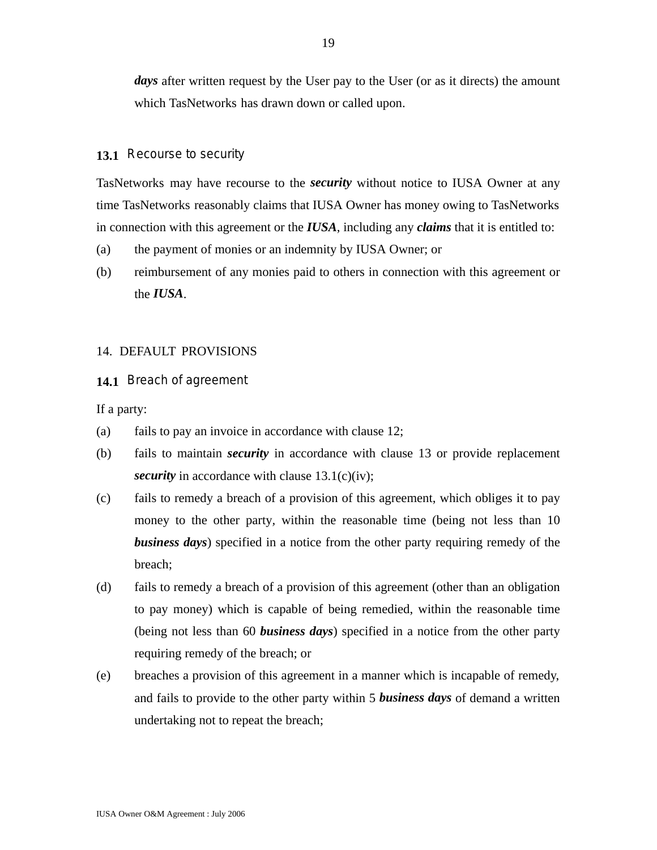days after written request by the User pay to the User (or as it directs) the amount which TasNetworks has drawn down or called upon.

#### **13.1** Recourse to security

TasNetworks may have recourse to the *security* without notice to IUSA Owner at any time TasNetworks reasonably claims that IUSA Owner has money owing to TasNetworks in connection with this agreement or the *IUSA*, including any *claims* that it is entitled to:

- (a) the payment of monies or an indemnity by IUSA Owner; or
- (b) reimbursement of any monies paid to others in connection with this agreement or the *IUSA*.

#### 14. DEFAULT PROVISIONS

**14.1** Breach of agreement

If a party:

- (a) fails to pay an invoice in accordance with clause 12;
- (b) fails to maintain *security* in accordance with clause 13 or provide replacement *security* in accordance with clause 13.1(c)(iv);
- (c) fails to remedy a breach of a provision of this agreement, which obliges it to pay money to the other party*,* within the reasonable time (being not less than 10 *business days*) specified in a notice from the other party requiring remedy of the breach;
- (d) fails to remedy a breach of a provision of this agreement (other than an obligation to pay money) which is capable of being remedied, within the reasonable time (being not less than 60 *business days*) specified in a notice from the other party requiring remedy of the breach; or
- (e) breaches a provision of this agreement in a manner which is incapable of remedy, and fails to provide to the other party within 5 *business days* of demand a written undertaking not to repeat the breach;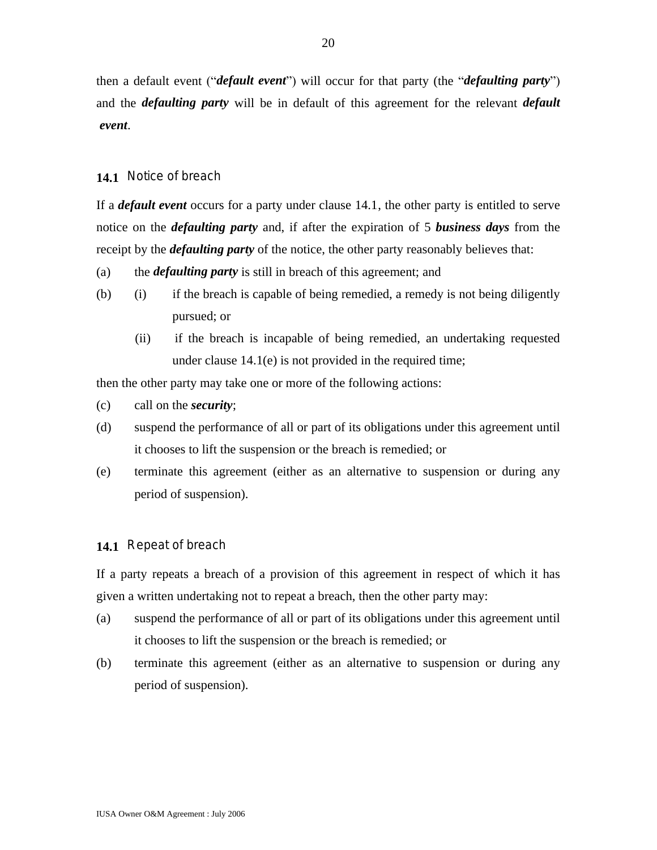then a default event ("*default event*") will occur for that party (the "*defaulting party*") and the *defaulting party* will be in default of this agreement for the relevant *default event*.

## **14.1** Notice of breach

If a *default event* occurs for a party under clause 14.1, the other party is entitled to serve notice on the *defaulting party* and, if after the expiration of 5 *business days* from the receipt by the *defaulting party* of the notice, the other party reasonably believes that:

- (a) the *defaulting party* is still in breach of this agreement; and
- (b) (i) if the breach is capable of being remedied, a remedy is not being diligently pursued; or
	- (ii) if the breach is incapable of being remedied, an undertaking requested under clause 14.1(e) is not provided in the required time;

then the other party may take one or more of the following actions:

- (c) call on the *security*;
- (d) suspend the performance of all or part of its obligations under this agreement until it chooses to lift the suspension or the breach is remedied; or
- (e) terminate this agreement (either as an alternative to suspension or during any period of suspension).

## **14.1** Repeat of breach

If a party repeats a breach of a provision of this agreement in respect of which it has given a written undertaking not to repeat a breach, then the other party may:

- (a) suspend the performance of all or part of its obligations under this agreement until it chooses to lift the suspension or the breach is remedied; or
- (b) terminate this agreement (either as an alternative to suspension or during any period of suspension).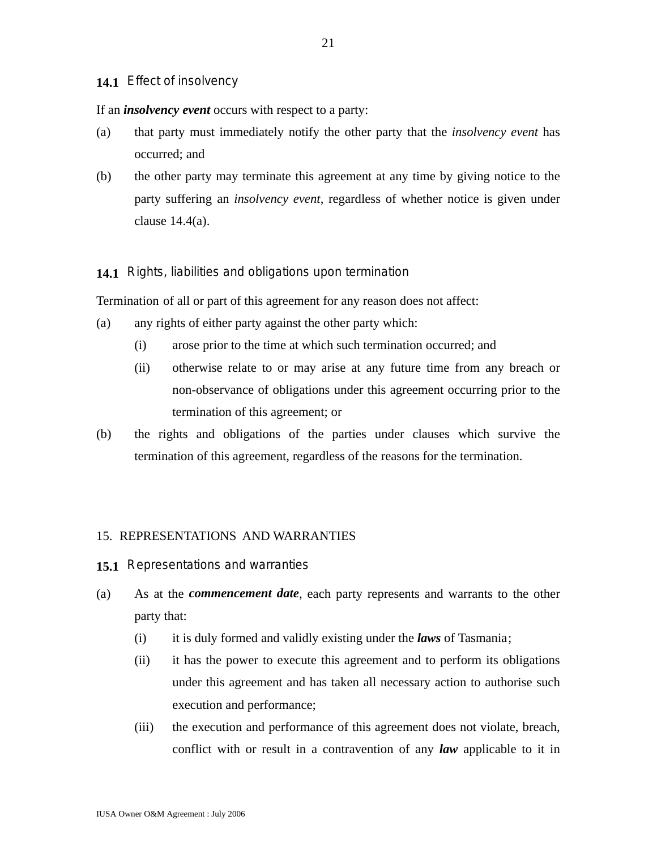## **14.1** Effect of insolvency

If an *insolvency event* occurs with respect to a party:

- (a) that party must immediately notify the other party that the *insolvency event* has occurred; and
- (b) the other party may terminate this agreement at any time by giving notice to the party suffering an *insolvency event*, regardless of whether notice is given under clause 14.4(a).

#### **14.1** Rights, liabilities and obligations upon termination

Termination of all or part of this agreement for any reason does not affect:

- (a) any rights of either party against the other party which:
	- (i) arose prior to the time at which such termination occurred; and
	- (ii) otherwise relate to or may arise at any future time from any breach or non-observance of obligations under this agreement occurring prior to the termination of this agreement; or
- (b) the rights and obligations of the parties under clauses which survive the termination of this agreement, regardless of the reasons for the termination.

#### 15. REPRESENTATIONS AND WARRANTIES

- **15.1** Representations and warranties
- (a) As at the *commencement date*, each party represents and warrants to the other party that:
	- (i) it is duly formed and validly existing under the *laws* of Tasmania;
	- (ii) it has the power to execute this agreement and to perform its obligations under this agreement and has taken all necessary action to authorise such execution and performance;
	- (iii) the execution and performance of this agreement does not violate, breach, conflict with or result in a contravention of any *law* applicable to it in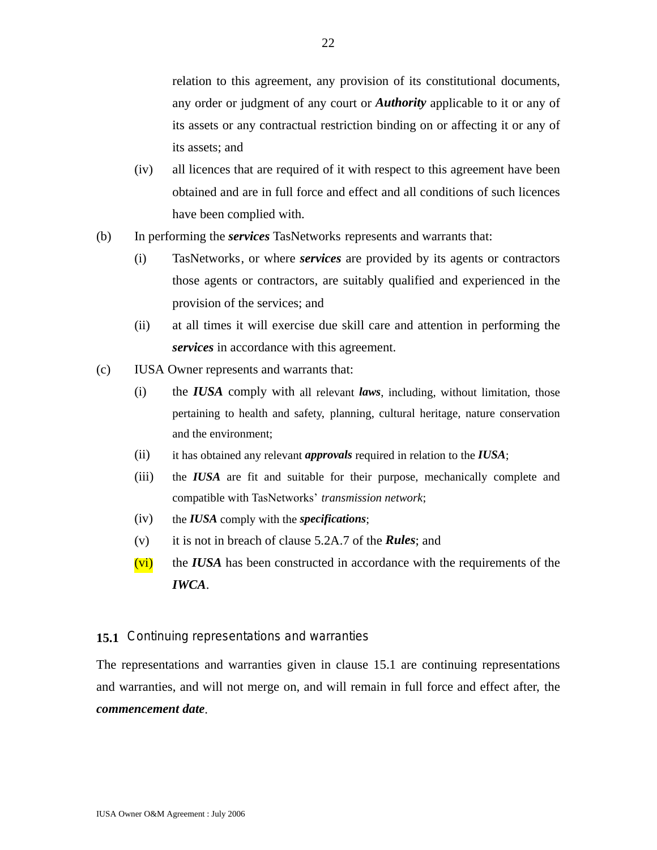relation to this agreement, any provision of its constitutional documents, any order or judgment of any court or *Authority* applicable to it or any of its assets or any contractual restriction binding on or affecting it or any of its assets; and

- (iv) all licences that are required of it with respect to this agreement have been obtained and are in full force and effect and all conditions of such licences have been complied with.
- (b) In performing the *services* TasNetworks represents and warrants that:
	- (i) TasNetworks, or where *services* are provided by its agents or contractors those agents or contractors, are suitably qualified and experienced in the provision of the services; and
	- (ii) at all times it will exercise due skill care and attention in performing the *services* in accordance with this agreement.
- (c) IUSA Owner represents and warrants that:
	- (i) the *IUSA* comply with all relevant *laws*, including, without limitation, those pertaining to health and safety, planning, cultural heritage, nature conservation and the environment;
	- (ii) it has obtained any relevant *approvals* required in relation to the *IUSA*;
	- (iii) the *IUSA* are fit and suitable for their purpose, mechanically complete and compatible with TasNetworks' *transmission network*;
	- (iv) the *IUSA* comply with the *specifications*;
	- (v) it is not in breach of clause 5.2A.7 of the *Rules*; and
	- (vi) the *IUSA* has been constructed in accordance with the requirements of the *IWCA*.

#### **15.1** Continuing representations and warranties

The representations and warranties given in clause 15.1 are continuing representations and warranties, and will not merge on, and will remain in full force and effect after, the *commencement date*.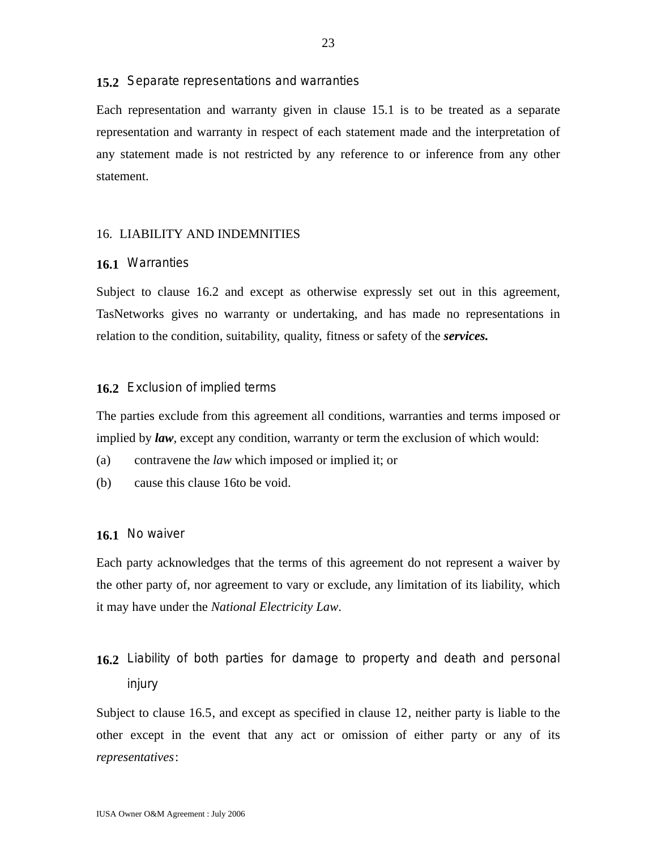#### **15.2** Separate representations and warranties

Each representation and warranty given in clause 15.1 is to be treated as a separate representation and warranty in respect of each statement made and the interpretation of any statement made is not restricted by any reference to or inference from any other statement.

#### 16. LIABILITY AND INDEMNITIES

#### **16.1** Warranties

Subject to clause 16.2 and except as otherwise expressly set out in this agreement, TasNetworks gives no warranty or undertaking, and has made no representations in relation to the condition, suitability, quality, fitness or safety of the *services.*

#### **16.2** Exclusion of implied terms

The parties exclude from this agreement all conditions, warranties and terms imposed or implied by *law*, except any condition, warranty or term the exclusion of which would:

- (a) contravene the *law* which imposed or implied it; or
- (b) cause this clause 16to be void.

#### **16.1** No waiver

Each party acknowledges that the terms of this agreement do not represent a waiver by the other party of, nor agreement to vary or exclude, any limitation of its liability, which it may have under the *National Electricity Law*.

# **16.2** Liability of both parties for damage to property and death and personal injury

Subject to clause 16.5, and except as specified in clause 12, neither party is liable to the other except in the event that any act or omission of either party or any of its *representatives*: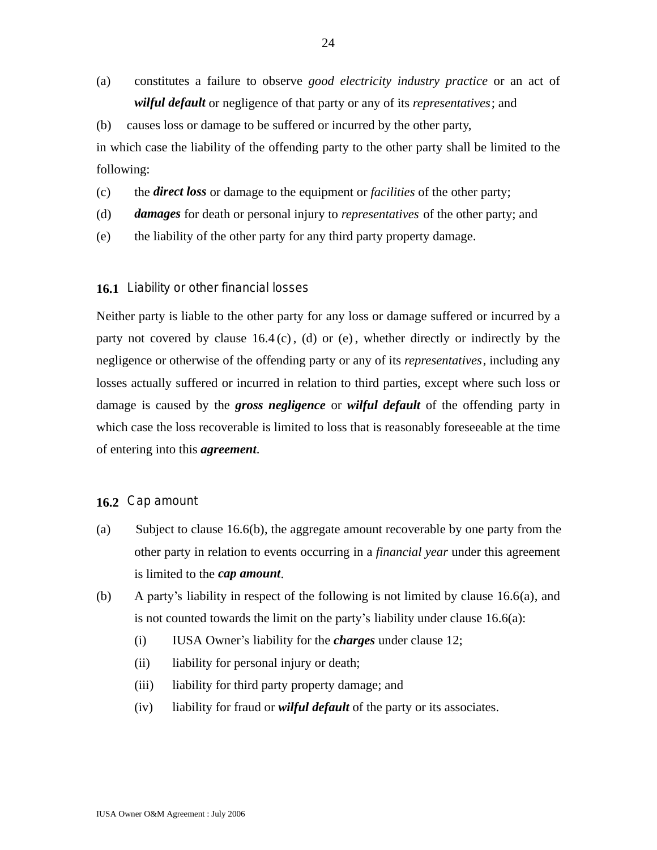(a) constitutes a failure to observe *good electricity industry practice* or an act of *wilful default* or negligence of that party or any of its *representatives*; and

(b) causes loss or damage to be suffered or incurred by the other party, in which case the liability of the offending party to the other party shall be limited to the following:

(c) the *direct loss* or damage to the equipment or *facilities* of the other party;

- (d) *damages* for death or personal injury to *representatives* of the other party; and
- (e) the liability of the other party for any third party property damage.

## **16.1** Liability or other financial losses

Neither party is liable to the other party for any loss or damage suffered or incurred by a party not covered by clause  $16.4$  (c), (d) or (e), whether directly or indirectly by the negligence or otherwise of the offending party or any of its *representatives*, including any losses actually suffered or incurred in relation to third parties, except where such loss or damage is caused by the *gross negligence* or *wilful default* of the offending party in which case the loss recoverable is limited to loss that is reasonably foreseeable at the time of entering into this *agreement*.

### **16.2** Cap amount

- (a) Subject to clause 16.6(b), the aggregate amount recoverable by one party from the other party in relation to events occurring in a *financial year* under this agreement is limited to the *cap amount*.
- (b) A party's liability in respect of the following is not limited by clause 16.6(a), and is not counted towards the limit on the party's liability under clause 16.6(a):
	- (i) IUSA Owner's liability for the *charges* under clause 12;
	- (ii) liability for personal injury or death;
	- (iii) liability for third party property damage; and
	- (iv) liability for fraud or *wilful default* of the party or its associates.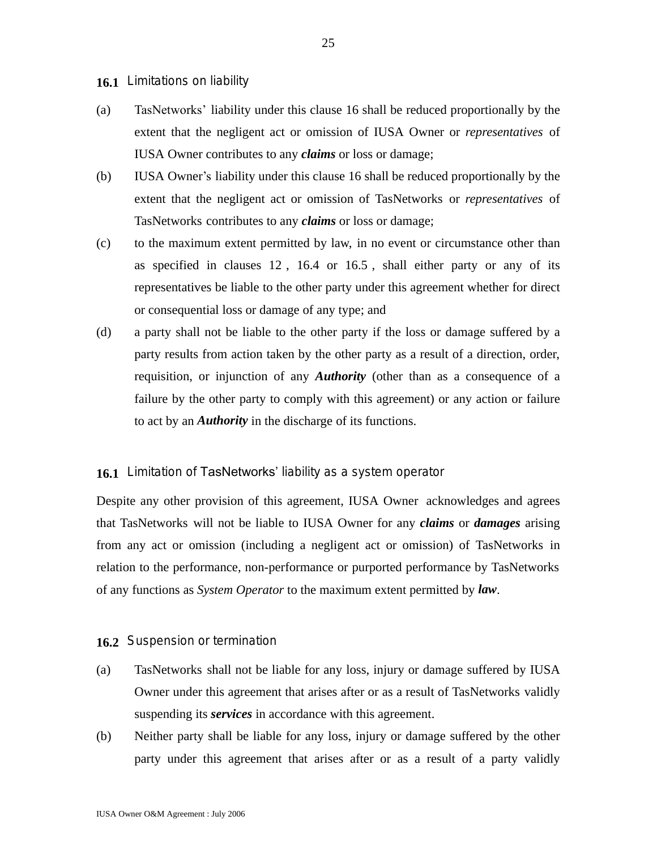**16.1** Limitations on liability

- (a) TasNetworks' liability under this clause 16 shall be reduced proportionally by the extent that the negligent act or omission of IUSA Owner or *representatives* of IUSA Owner contributes to any *claims* or loss or damage;
- (b) IUSA Owner's liability under this clause 16 shall be reduced proportionally by the extent that the negligent act or omission of TasNetworks or *representatives* of TasNetworks contributes to any *claims* or loss or damage;
- (c) to the maximum extent permitted by law, in no event or circumstance other than as specified in clauses 12 , 16.4 or 16.5 , shall either party or any of its representatives be liable to the other party under this agreement whether for direct or consequential loss or damage of any type; and
- (d) a party shall not be liable to the other party if the loss or damage suffered by a party results from action taken by the other party as a result of a direction, order, requisition, or injunction of any *Authority* (other than as a consequence of a failure by the other party to comply with this agreement) or any action or failure to act by an *Authority* in the discharge of its functions.

#### **16.1** Limitation of TasNetworks' liability as a system operator

Despite any other provision of this agreement, IUSA Owner acknowledges and agrees that TasNetworks will not be liable to IUSA Owner for any *claims* or *damages* arising from any act or omission (including a negligent act or omission) of TasNetworks in relation to the performance, non-performance or purported performance by TasNetworks of any functions as *System Operator* to the maximum extent permitted by *law*.

#### **16.2** Suspension or termination

- (a) TasNetworks shall not be liable for any loss, injury or damage suffered by IUSA Owner under this agreement that arises after or as a result of TasNetworks validly suspending its *services* in accordance with this agreement.
- (b) Neither party shall be liable for any loss, injury or damage suffered by the other party under this agreement that arises after or as a result of a party validly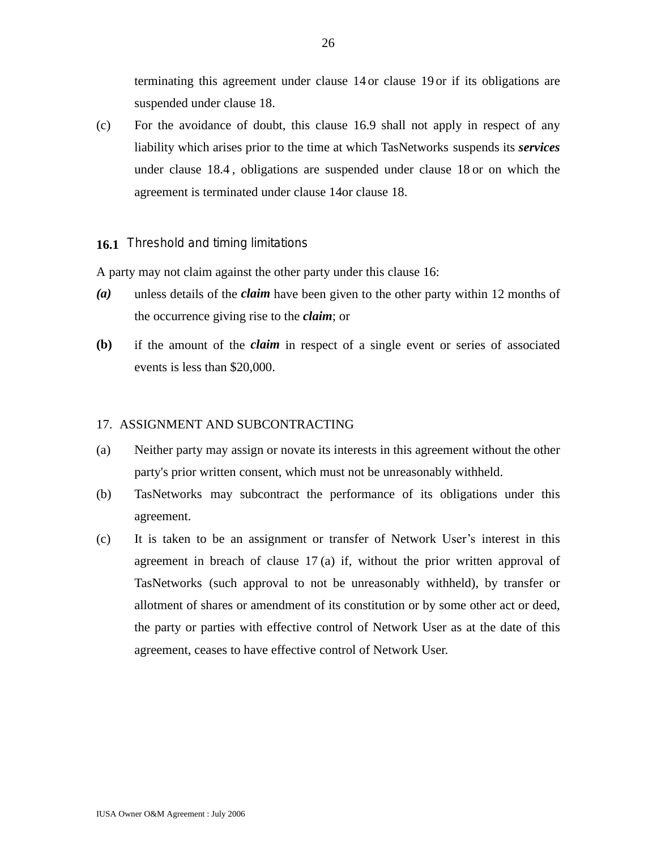terminating this agreement under clause 14 or clause 19 or if its obligations are suspended under clause 18.

(c) For the avoidance of doubt, this clause 16.9 shall not apply in respect of any liability which arises prior to the time at which TasNetworks suspends its *services* under clause 18.4 , obligations are suspended under clause 18 or on which the agreement is terminated under clause 14or clause 18.

## **16.1** Threshold and timing limitations

A party may not claim against the other party under this clause 16:

- *(a)* unless details of the *claim* have been given to the other party within 12 months of the occurrence giving rise to the *claim*; or
- **(b)** if the amount of the *claim* in respect of a single event or series of associated events is less than \$20,000.

### 17. ASSIGNMENT AND SUBCONTRACTING

- (a) Neither party may assign or novate its interests in this agreement without the other party's prior written consent, which must not be unreasonably withheld.
- (b) TasNetworks may subcontract the performance of its obligations under this agreement.
- (c) It is taken to be an assignment or transfer of Network User's interest in this agreement in breach of clause 17 (a) if, without the prior written approval of TasNetworks (such approval to not be unreasonably withheld), by transfer or allotment of shares or amendment of its constitution or by some other act or deed, the party or parties with effective control of Network User as at the date of this agreement, ceases to have effective control of Network User.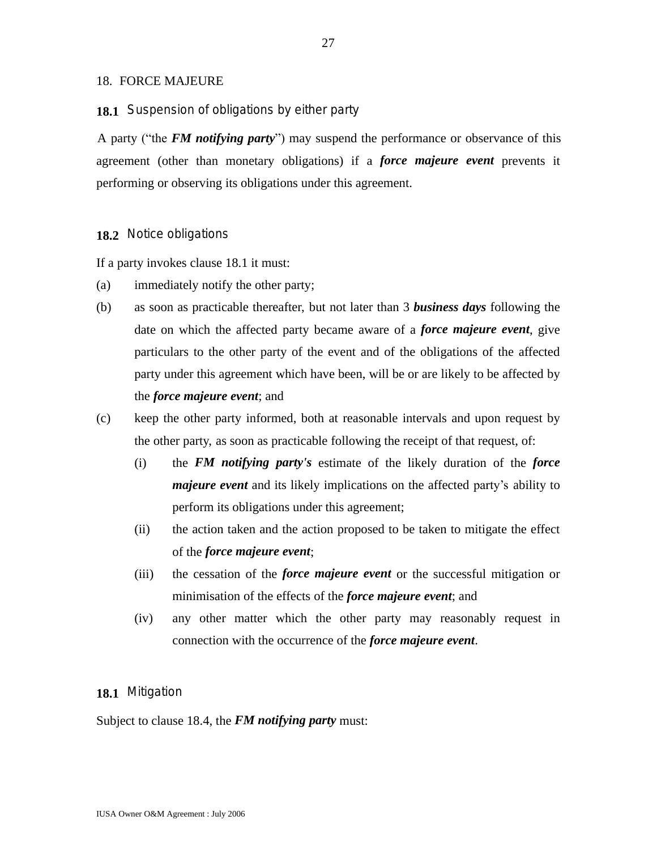### 18. FORCE MAJEURE

#### **18.1** Suspension of obligations by either party

A party ("the *FM notifying party*") may suspend the performance or observance of this agreement (other than monetary obligations) if a *force majeure event* prevents it performing or observing its obligations under this agreement.

#### **18.2** Notice obligations

If a party invokes clause 18.1 it must:

- (a) immediately notify the other party;
- (b) as soon as practicable thereafter, but not later than 3 *business days* following the date on which the affected party became aware of a *force majeure event*, give particulars to the other party of the event and of the obligations of the affected party under this agreement which have been, will be or are likely to be affected by the *force majeure event*; and
- (c) keep the other party informed, both at reasonable intervals and upon request by the other party, as soon as practicable following the receipt of that request, of:
	- (i) the *FM notifying party's* estimate of the likely duration of the *force majeure event* and its likely implications on the affected party's ability to perform its obligations under this agreement;
	- (ii) the action taken and the action proposed to be taken to mitigate the effect of the *force majeure event*;
	- (iii) the cessation of the *force majeure event* or the successful mitigation or minimisation of the effects of the *force majeure event*; and
	- (iv) any other matter which the other party may reasonably request in connection with the occurrence of the *force majeure event*.

#### **18.1** Mitigation

Subject to clause 18.4, the *FM notifying party* must: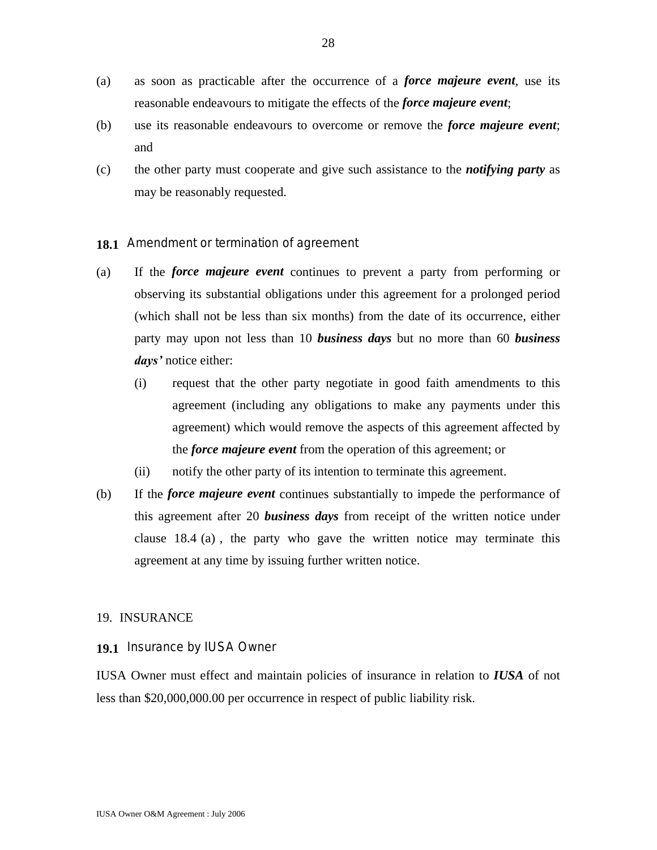- (a) as soon as practicable after the occurrence of a *force majeure event*, use its reasonable endeavours to mitigate the effects of the *force majeure event*;
- (b) use its reasonable endeavours to overcome or remove the *force majeure event*; and
- (c) the other party must cooperate and give such assistance to the *notifying party* as may be reasonably requested.
- **18.1** Amendment or termination of agreement
- (a) If the *force majeure event* continues to prevent a party from performing or observing its substantial obligations under this agreement for a prolonged period (which shall not be less than six months) from the date of its occurrence, either party may upon not less than 10 *business days* but no more than 60 *business days'* notice either:
	- (i) request that the other party negotiate in good faith amendments to this agreement (including any obligations to make any payments under this agreement) which would remove the aspects of this agreement affected by the *force majeure event* from the operation of this agreement; or
	- (ii) notify the other party of its intention to terminate this agreement.
- (b) If the *force majeure event* continues substantially to impede the performance of this agreement after 20 *business days* from receipt of the written notice under clause 18.4 (a) , the party who gave the written notice may terminate this agreement at any time by issuing further written notice.

### 19. INSURANCE

### **19.1** Insurance by IUSA Owner

IUSA Owner must effect and maintain policies of insurance in relation to *IUSA* of not less than \$20,000,000.00 per occurrence in respect of public liability risk.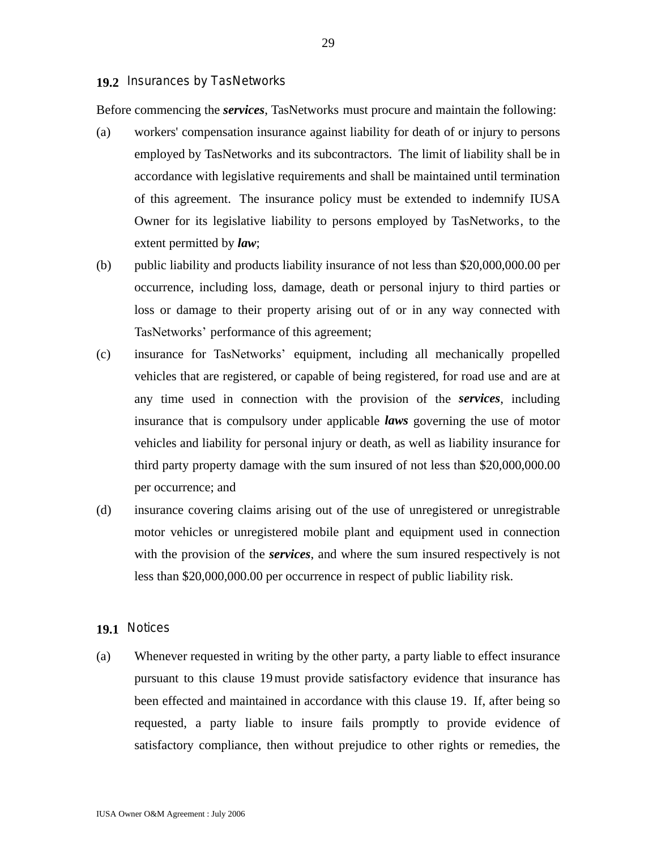#### **19.2** Insurances by TasNetworks

Before commencing the *services*, TasNetworks must procure and maintain the following:

- (a) workers' compensation insurance against liability for death of or injury to persons employed by TasNetworks and its subcontractors. The limit of liability shall be in accordance with legislative requirements and shall be maintained until termination of this agreement. The insurance policy must be extended to indemnify IUSA Owner for its legislative liability to persons employed by TasNetworks, to the extent permitted by *law*;
- (b) public liability and products liability insurance of not less than \$20,000,000.00 per occurrence, including loss, damage, death or personal injury to third parties or loss or damage to their property arising out of or in any way connected with TasNetworks' performance of this agreement;
- (c) insurance for TasNetworks' equipment, including all mechanically propelled vehicles that are registered, or capable of being registered, for road use and are at any time used in connection with the provision of the *services*, including insurance that is compulsory under applicable *laws* governing the use of motor vehicles and liability for personal injury or death, as well as liability insurance for third party property damage with the sum insured of not less than \$20,000,000.00 per occurrence; and
- (d) insurance covering claims arising out of the use of unregistered or unregistrable motor vehicles or unregistered mobile plant and equipment used in connection with the provision of the *services*, and where the sum insured respectively is not less than \$20,000,000.00 per occurrence in respect of public liability risk.

#### **19.1** Notices

(a) Whenever requested in writing by the other party, a party liable to effect insurance pursuant to this clause 19must provide satisfactory evidence that insurance has been effected and maintained in accordance with this clause 19. If, after being so requested, a party liable to insure fails promptly to provide evidence of satisfactory compliance, then without prejudice to other rights or remedies, the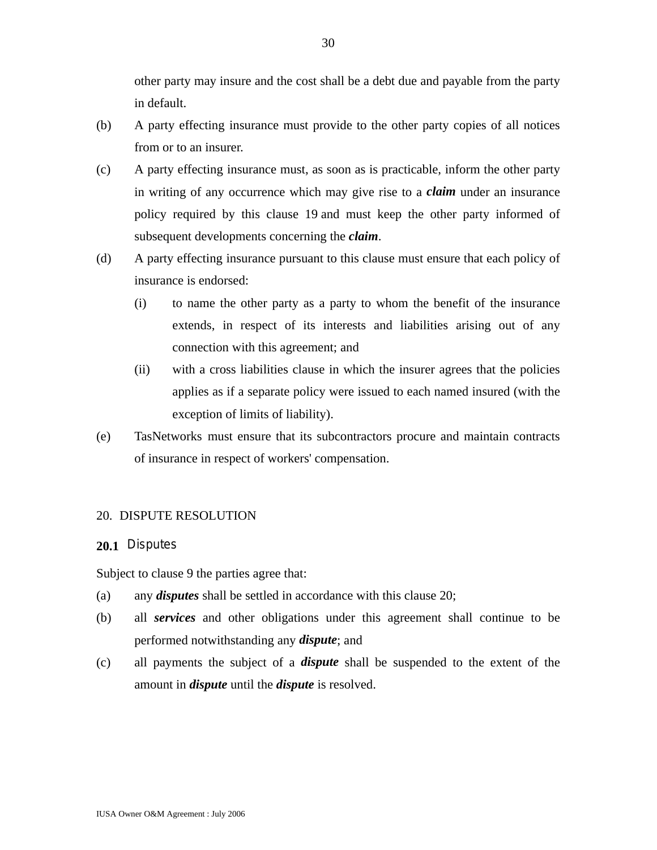other party may insure and the cost shall be a debt due and payable from the party in default.

- (b) A party effecting insurance must provide to the other party copies of all notices from or to an insurer.
- (c) A party effecting insurance must, as soon as is practicable, inform the other party in writing of any occurrence which may give rise to a *claim* under an insurance policy required by this clause 19 and must keep the other party informed of subsequent developments concerning the *claim*.
- (d) A party effecting insurance pursuant to this clause must ensure that each policy of insurance is endorsed:
	- (i) to name the other party as a party to whom the benefit of the insurance extends, in respect of its interests and liabilities arising out of any connection with this agreement; and
	- (ii) with a cross liabilities clause in which the insurer agrees that the policies applies as if a separate policy were issued to each named insured (with the exception of limits of liability).
- (e) TasNetworks must ensure that its subcontractors procure and maintain contracts of insurance in respect of workers' compensation.

#### 20. DISPUTE RESOLUTION

## **20.1** Disputes

Subject to clause 9 the parties agree that:

- (a) any *disputes* shall be settled in accordance with this clause 20;
- (b) all *services* and other obligations under this agreement shall continue to be performed notwithstanding any *dispute*; and
- (c) all payments the subject of a *dispute* shall be suspended to the extent of the amount in *dispute* until the *dispute* is resolved.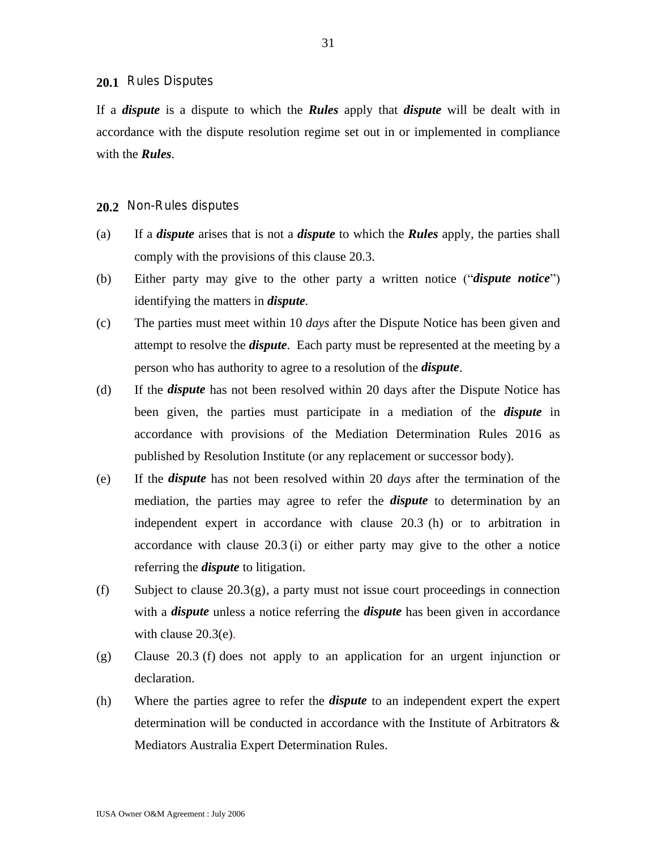#### **20.1** Rules Disputes

If a *dispute* is a dispute to which the *Rules* apply that *dispute* will be dealt with in accordance with the dispute resolution regime set out in or implemented in compliance with the *Rules*.

#### **20.2** Non-Rules disputes

- (a) If a *dispute* arises that is not a *dispute* to which the *Rules* apply, the parties shall comply with the provisions of this clause 20.3.
- (b) Either party may give to the other party a written notice ("*dispute notice*") identifying the matters in *dispute.*
- (c) The parties must meet within 10 *days* after the Dispute Notice has been given and attempt to resolve the *dispute*. Each party must be represented at the meeting by a person who has authority to agree to a resolution of the *dispute*.
- (d) If the *dispute* has not been resolved within 20 days after the Dispute Notice has been given, the parties must participate in a mediation of the *dispute* in accordance with provisions of the Mediation Determination Rules 2016 as published by Resolution Institute (or any replacement or successor body).
- (e) If the *dispute* has not been resolved within 20 *days* after the termination of the mediation, the parties may agree to refer the *dispute* to determination by an independent expert in accordance with clause 20.3 (h) or to arbitration in accordance with clause 20.3 (i) or either party may give to the other a notice referring the *dispute* to litigation.
- (f) Subject to clause 20.3(g), a party must not issue court proceedings in connection with a *dispute* unless a notice referring the *dispute* has been given in accordance with clause 20.3(e).
- (g) Clause 20.3 (f) does not apply to an application for an urgent injunction or declaration.
- (h) Where the parties agree to refer the *dispute* to an independent expert the expert determination will be conducted in accordance with the Institute of Arbitrators & Mediators Australia Expert Determination Rules.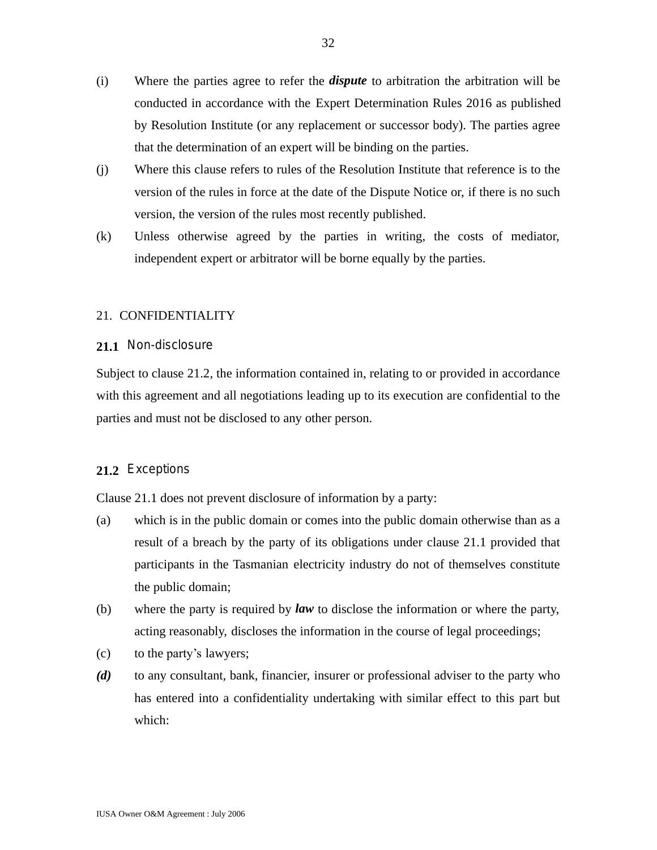- (i) Where the parties agree to refer the *dispute* to arbitration the arbitration will be conducted in accordance with the Expert Determination Rules 2016 as published by Resolution Institute (or any replacement or successor body). The parties agree that the determination of an expert will be binding on the parties.
- (j) Where this clause refers to rules of the Resolution Institute that reference is to the version of the rules in force at the date of the Dispute Notice or, if there is no such version, the version of the rules most recently published.
- (k) Unless otherwise agreed by the parties in writing, the costs of mediator, independent expert or arbitrator will be borne equally by the parties.

### 21. CONFIDENTIALITY

### **21.1** Non-disclosure

Subject to clause 21.2, the information contained in, relating to or provided in accordance with this agreement and all negotiations leading up to its execution are confidential to the parties and must not be disclosed to any other person.

## **21.2** Exceptions

Clause 21.1 does not prevent disclosure of information by a party:

- (a) which is in the public domain or comes into the public domain otherwise than as a result of a breach by the party of its obligations under clause 21.1 provided that participants in the Tasmanian electricity industry do not of themselves constitute the public domain;
- (b) where the party is required by *law* to disclose the information or where the party, acting reasonably, discloses the information in the course of legal proceedings;
- (c) to the party's lawyers;
- *(d)* to any consultant, bank, financier, insurer or professional adviser to the party who has entered into a confidentiality undertaking with similar effect to this part but which: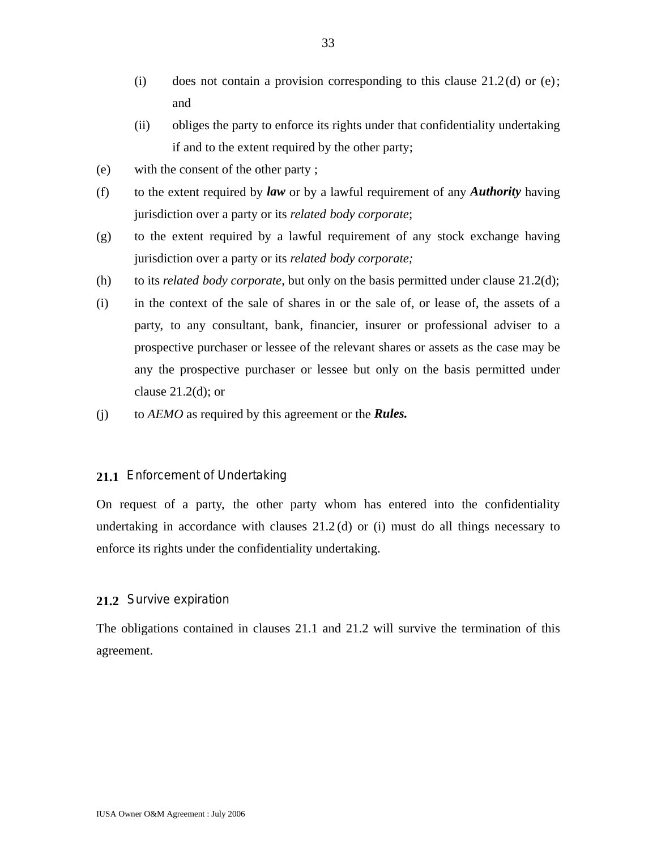- (i) does not contain a provision corresponding to this clause  $21.2$ (d) or (e); and
- (ii) obliges the party to enforce its rights under that confidentiality undertaking if and to the extent required by the other party;
- (e) with the consent of the other party ;
- (f) to the extent required by *law* or by a lawful requirement of any *Authority* having jurisdiction over a party or its *related body corporate*;
- (g) to the extent required by a lawful requirement of any stock exchange having jurisdiction over a party or its *related body corporate;*
- (h) to its *related body corporate*, but only on the basis permitted under clause 21.2(d);
- (i) in the context of the sale of shares in or the sale of, or lease of, the assets of a party, to any consultant, bank, financier, insurer or professional adviser to a prospective purchaser or lessee of the relevant shares or assets as the case may be any the prospective purchaser or lessee but only on the basis permitted under clause  $21.2(d)$ ; or
- (j) to *AEMO* as required by this agreement or the *Rules.*

#### **21.1** Enforcement of Undertaking

On request of a party, the other party whom has entered into the confidentiality undertaking in accordance with clauses  $21.2$  (d) or (i) must do all things necessary to enforce its rights under the confidentiality undertaking.

#### **21.2** Survive expiration

The obligations contained in clauses 21.1 and 21.2 will survive the termination of this agreement.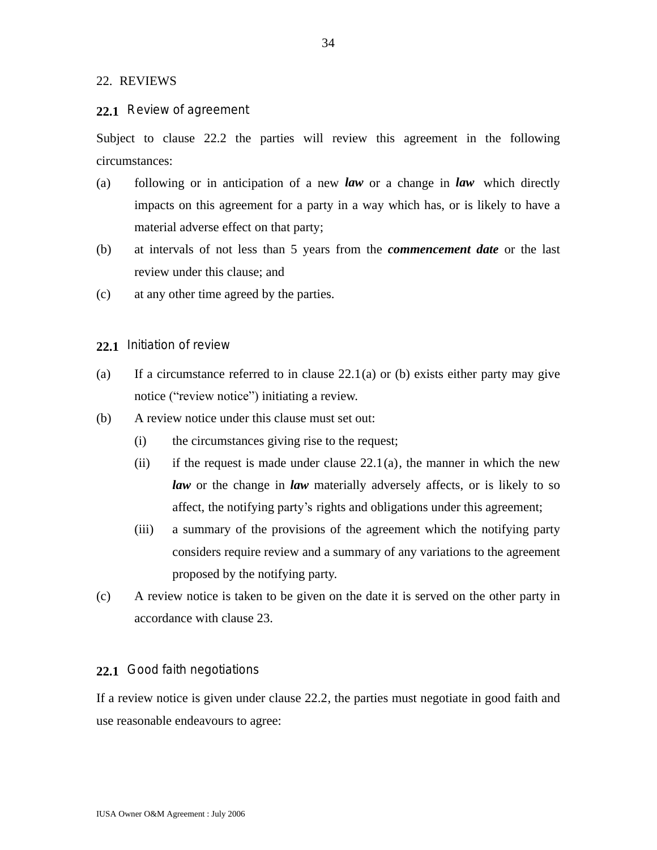#### 22. REVIEWS

#### **22.1** Review of agreement

Subject to clause 22.2 the parties will review this agreement in the following circumstances:

- (a) following or in anticipation of a new *law* or a change in *law* which directly impacts on this agreement for a party in a way which has, or is likely to have a material adverse effect on that party;
- (b) at intervals of not less than 5 years from the *commencement date* or the last review under this clause; and
- (c) at any other time agreed by the parties.
- **22.1** Initiation of review
- (a) If a circumstance referred to in clause  $22.1(a)$  or (b) exists either party may give notice ("review notice") initiating a review.
- (b) A review notice under this clause must set out:
	- (i) the circumstances giving rise to the request;
	- (ii) if the request is made under clause  $22.1(a)$ , the manner in which the new *law* or the change in *law* materially adversely affects, or is likely to so affect, the notifying party's rights and obligations under this agreement;
	- (iii) a summary of the provisions of the agreement which the notifying party considers require review and a summary of any variations to the agreement proposed by the notifying party.
- (c) A review notice is taken to be given on the date it is served on the other party in accordance with clause 23.

## **22.1** Good faith negotiations

If a review notice is given under clause 22.2, the parties must negotiate in good faith and use reasonable endeavours to agree: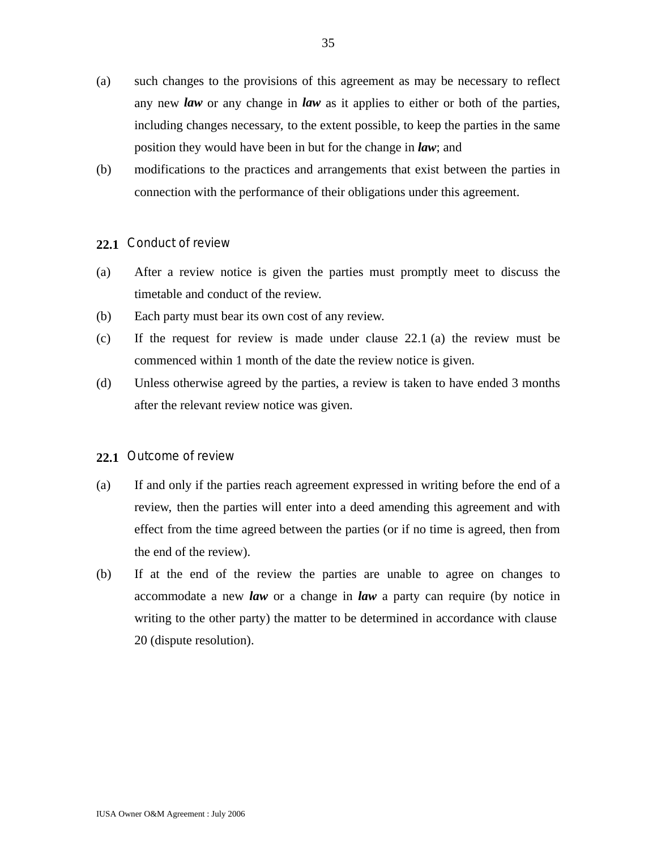- (a) such changes to the provisions of this agreement as may be necessary to reflect any new *law* or any change in *law* as it applies to either or both of the parties, including changes necessary, to the extent possible, to keep the parties in the same position they would have been in but for the change in *law*; and
- (b) modifications to the practices and arrangements that exist between the parties in connection with the performance of their obligations under this agreement.

## **22.1** Conduct of review

- (a) After a review notice is given the parties must promptly meet to discuss the timetable and conduct of the review.
- (b) Each party must bear its own cost of any review.
- (c) If the request for review is made under clause 22.1 (a) the review must be commenced within 1 month of the date the review notice is given.
- (d) Unless otherwise agreed by the parties, a review is taken to have ended 3 months after the relevant review notice was given.

### **22.1** Outcome of review

- (a) If and only if the parties reach agreement expressed in writing before the end of a review, then the parties will enter into a deed amending this agreement and with effect from the time agreed between the parties (or if no time is agreed, then from the end of the review).
- (b) If at the end of the review the parties are unable to agree on changes to accommodate a new *law* or a change in *law* a party can require (by notice in writing to the other party) the matter to be determined in accordance with clause 20 (dispute resolution).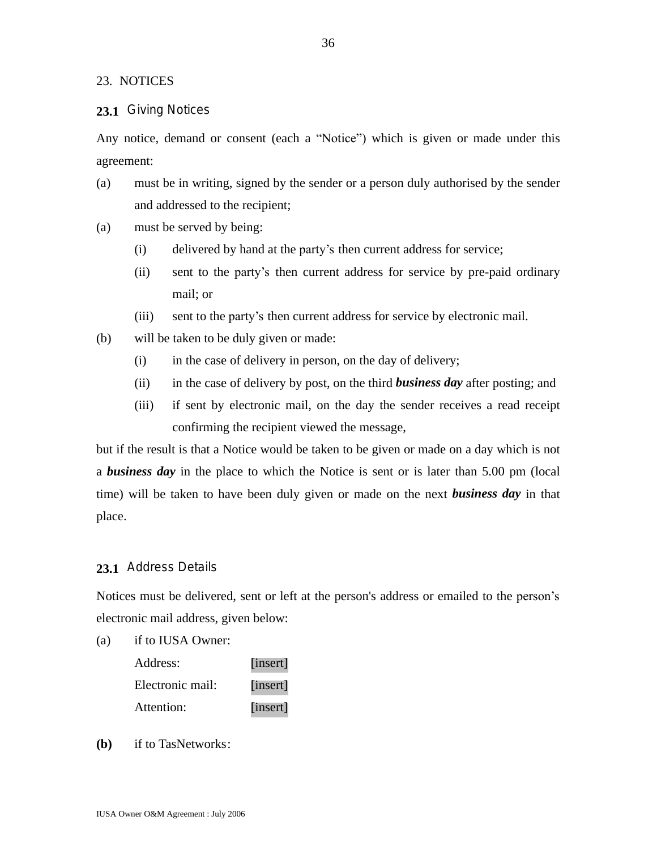23. NOTICES

#### **23.1** Giving Notices

Any notice, demand or consent (each a "Notice") which is given or made under this agreement:

- (a) must be in writing, signed by the sender or a person duly authorised by the sender and addressed to the recipient;
- (a) must be served by being:
	- (i) delivered by hand at the party's then current address for service;
	- (ii) sent to the party's then current address for service by pre-paid ordinary mail; or
	- (iii) sent to the party's then current address for service by electronic mail.
- (b) will be taken to be duly given or made:
	- (i) in the case of delivery in person, on the day of delivery;
	- (ii) in the case of delivery by post, on the third *business day* after posting; and
	- (iii) if sent by electronic mail, on the day the sender receives a read receipt confirming the recipient viewed the message,

but if the result is that a Notice would be taken to be given or made on a day which is not a *business day* in the place to which the Notice is sent or is later than 5.00 pm (local time) will be taken to have been duly given or made on the next *business day* in that place.

## **23.1** Address Details

Notices must be delivered, sent or left at the person's address or emailed to the person's electronic mail address, given below:

(a) if to IUSA Owner:

| Address:         | [insert] |
|------------------|----------|
| Electronic mail: | [insert] |
| Attention:       | [insert] |

**(b)** if to TasNetworks: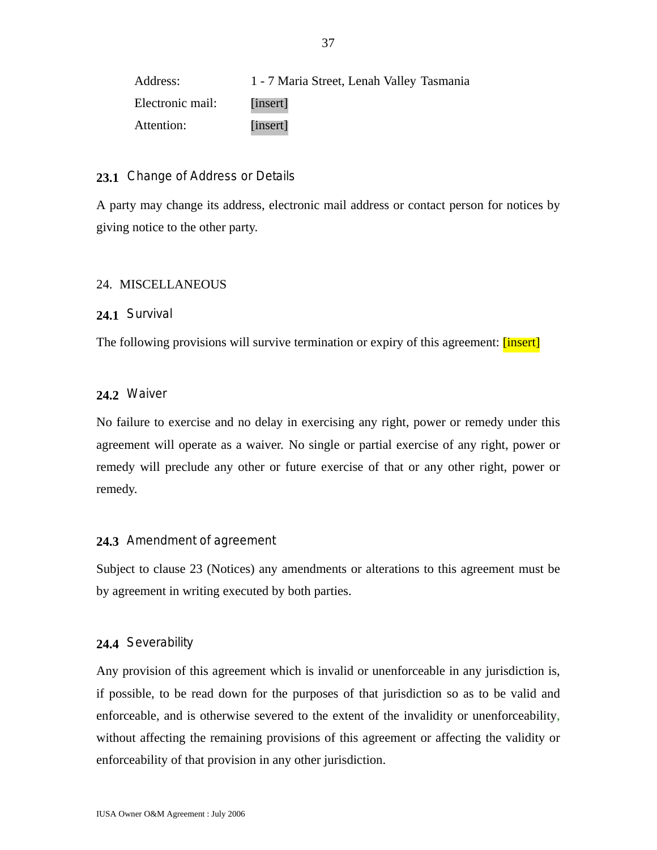| Address:         | 1 - 7 Maria Street, Lenah Valley Tasmania |
|------------------|-------------------------------------------|
| Electronic mail: | <i>l</i> insert                           |
| Attention:       | [insert]                                  |

## **23.1** Change of Address or Details

A party may change its address, electronic mail address or contact person for notices by giving notice to the other party.

## 24. MISCELLANEOUS

## **24.1** Survival

The following provisions will survive termination or expiry of this agreement: *[insert]* 

## **24.2** Waiver

No failure to exercise and no delay in exercising any right, power or remedy under this agreement will operate as a waiver. No single or partial exercise of any right, power or remedy will preclude any other or future exercise of that or any other right, power or remedy.

## **24.3** Amendment of agreement

Subject to clause 23 (Notices) any amendments or alterations to this agreement must be by agreement in writing executed by both parties.

### **24.4** Severability

Any provision of this agreement which is invalid or unenforceable in any jurisdiction is, if possible, to be read down for the purposes of that jurisdiction so as to be valid and enforceable, and is otherwise severed to the extent of the invalidity or unenforceability, without affecting the remaining provisions of this agreement or affecting the validity or enforceability of that provision in any other jurisdiction.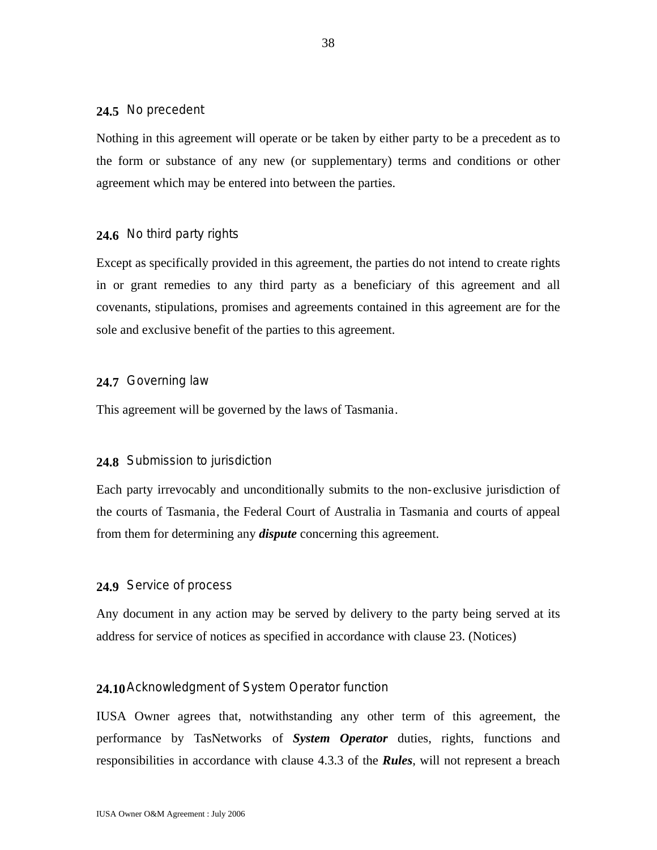#### **24.5** No precedent

Nothing in this agreement will operate or be taken by either party to be a precedent as to the form or substance of any new (or supplementary) terms and conditions or other agreement which may be entered into between the parties.

### **24.6** No third party rights

Except as specifically provided in this agreement, the parties do not intend to create rights in or grant remedies to any third party as a beneficiary of this agreement and all covenants, stipulations, promises and agreements contained in this agreement are for the sole and exclusive benefit of the parties to this agreement.

## **24.7** Governing law

This agreement will be governed by the laws of Tasmania.

#### **24.8** Submission to jurisdiction

Each party irrevocably and unconditionally submits to the non-exclusive jurisdiction of the courts of Tasmania, the Federal Court of Australia in Tasmania and courts of appeal from them for determining any *dispute* concerning this agreement.

#### **24.9** Service of process

Any document in any action may be served by delivery to the party being served at its address for service of notices as specified in accordance with clause 23. (Notices)

## **24.10**Acknowledgment of System Operator function

IUSA Owner agrees that, notwithstanding any other term of this agreement, the performance by TasNetworks of *System Operator* duties, rights, functions and responsibilities in accordance with clause 4.3.3 of the *Rules*, will not represent a breach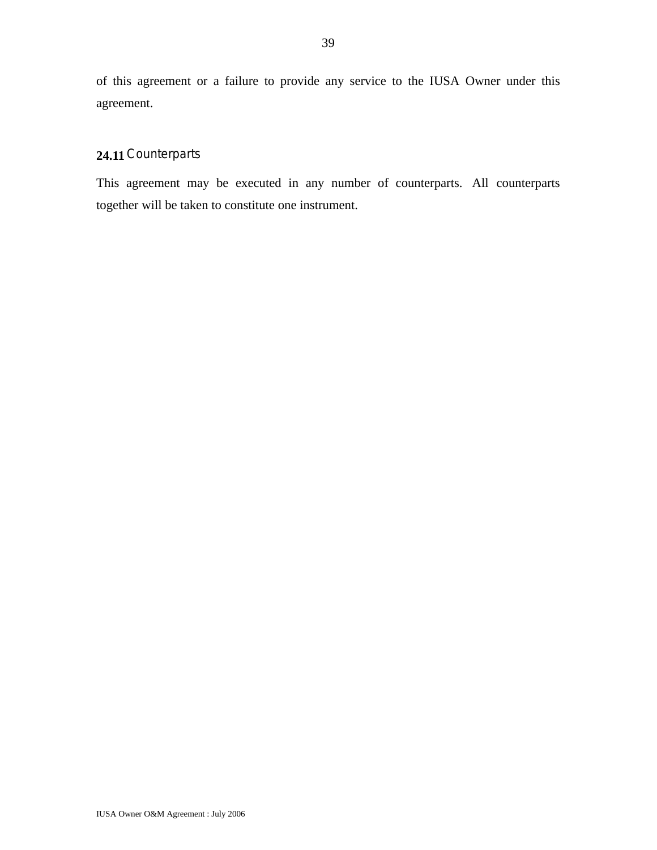of this agreement or a failure to provide any service to the IUSA Owner under this agreement.

## **24.11** Counterparts

This agreement may be executed in any number of counterparts. All counterparts together will be taken to constitute one instrument.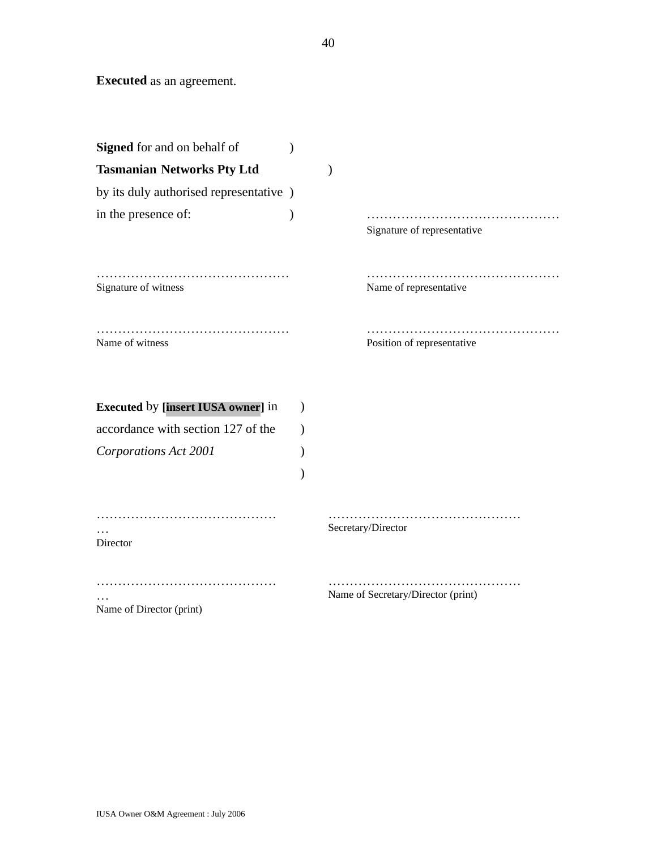**Executed** as an agreement.

| <b>Signed</b> for and on behalf of                                              |           |                                    |
|---------------------------------------------------------------------------------|-----------|------------------------------------|
| <b>Tasmanian Networks Pty Ltd</b>                                               |           |                                    |
| by its duly authorised representative )                                         |           |                                    |
| in the presence of:                                                             |           | Signature of representative        |
| Signature of witness                                                            |           | .<br>Name of representative        |
| Name of witness                                                                 |           | Position of representative         |
| <b>Executed by [insert IUSA owner] in</b><br>accordance with section 127 of the | $\lambda$ |                                    |
|                                                                                 |           |                                    |
| Corporations Act 2001                                                           |           |                                    |
| Director                                                                        |           | Secretary/Director                 |
| Name of Director (print)                                                        |           | Name of Secretary/Director (print) |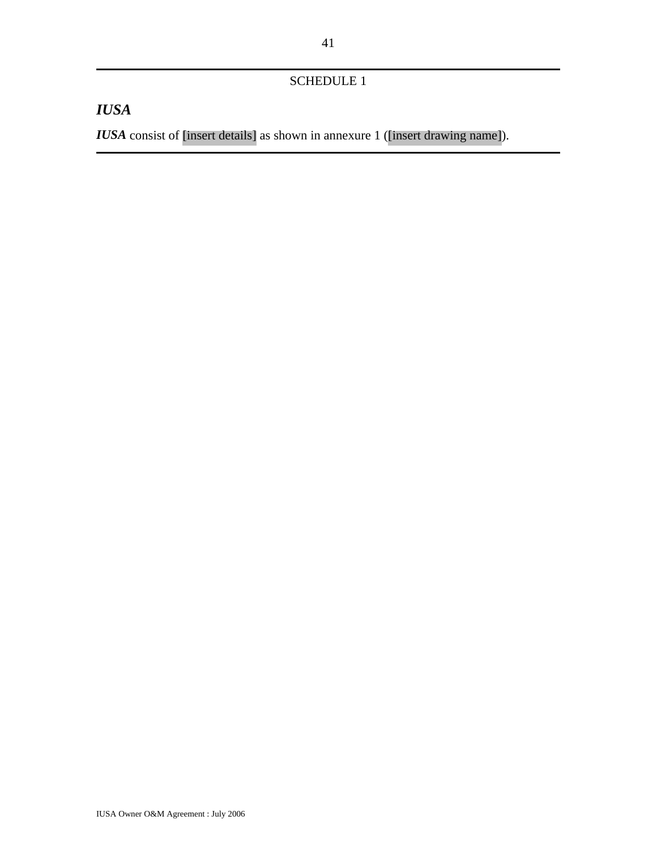## SCHEDULE 1

# *IUSA*

*IUSA* consist of [insert details] as shown in annexure 1 ([insert drawing name]).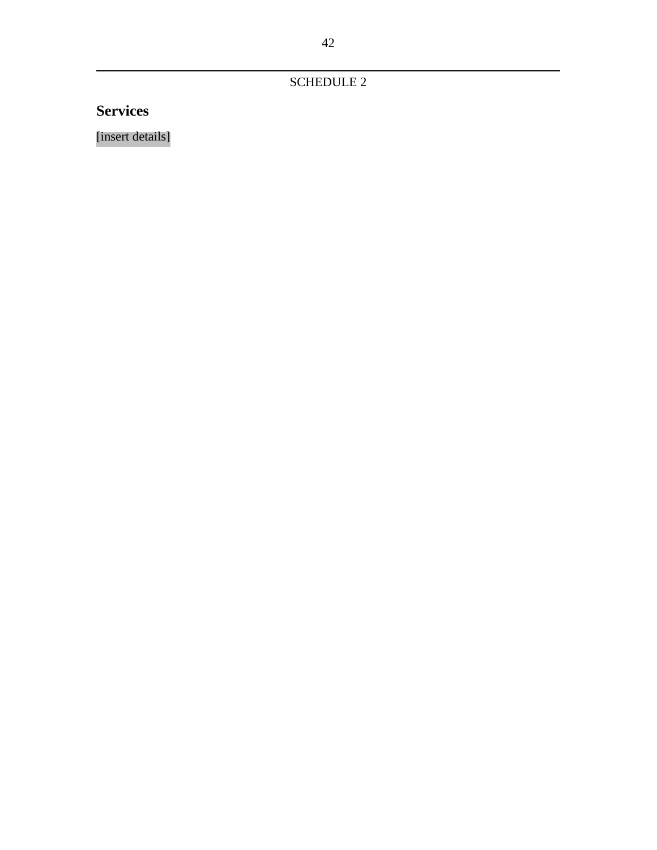SCHEDULE 2

**Services**

[insert details]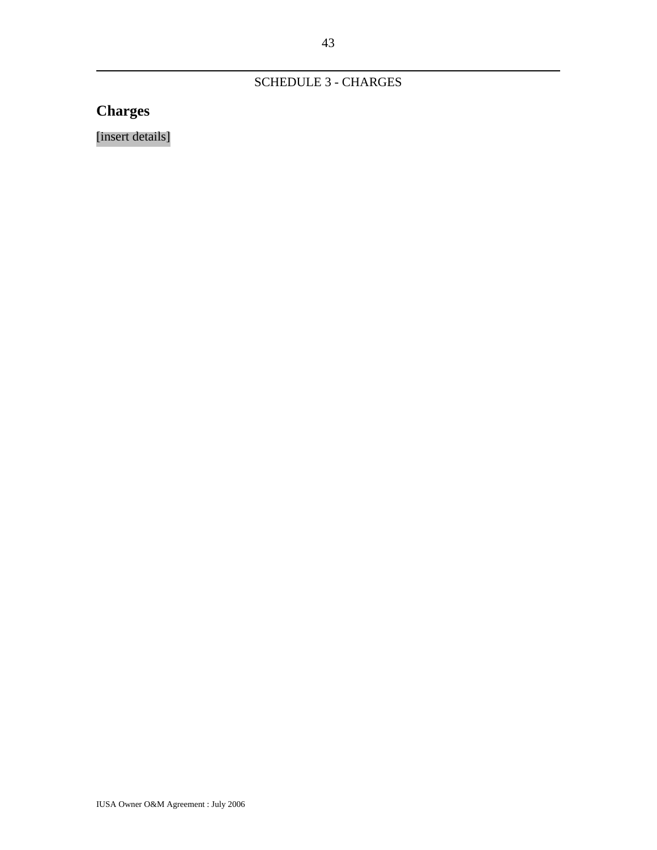## SCHEDULE 3 - CHARGES

# **Charges**

[insert details]